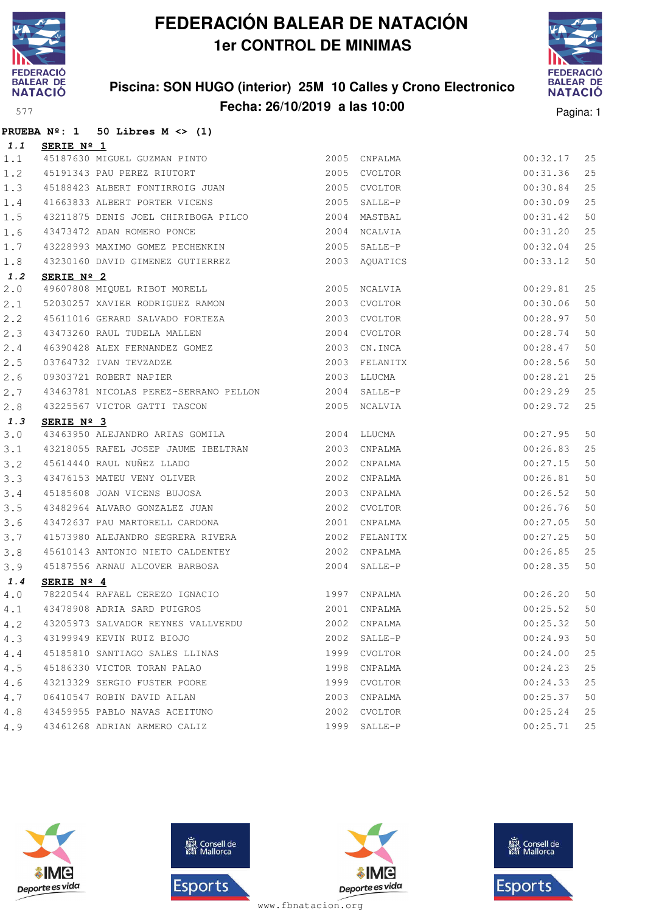

### **Piscina: SON HUGO (interior) 25M 10 Calles y Crono Electronico Fecha: 26/10/2019 a las 10:00** Pagina: 1



|       |                   | PRUEBA $N^{\circ}$ : 1 50 Libres M <> (1)                                                                                                                                         |      |               |             |    |
|-------|-------------------|-----------------------------------------------------------------------------------------------------------------------------------------------------------------------------------|------|---------------|-------------|----|
| 1.1   | <u>SERIE Nº 1</u> |                                                                                                                                                                                   |      |               |             |    |
| 1.1   |                   | 45187630 MIGUEL GUZMAN PINTO<br>45191343 PAU PEREZ RIUTORT                                                                                                                        |      | 2005 CNPALMA  | 00:32.17    | 25 |
| 1.2   |                   |                                                                                                                                                                                   |      | 2005 CVOLTOR  | 00:31.36    | 25 |
| 1.3   |                   | 45188423 ALBERT FONTIRROIG JUAN 2005 CVOLTOR                                                                                                                                      |      |               | 00:30.84    | 25 |
| 1.4   |                   | 41663833 ALBERT PORTER VICENS 2005 SALLE-P                                                                                                                                        |      |               | 00:30.09    | 25 |
| 1.5   |                   | 43211875 DENIS JOEL CHIRIBOGA PILCO 2004 MASTBAL                                                                                                                                  |      |               | 00:31.42    | 50 |
| 1.6   |                   | 43473472 ADAN ROMERO PONCE                                                                                                                                                        |      | 2004 NCALVIA  | 00:31.20    | 25 |
| 1.7   |                   |                                                                                                                                                                                   |      |               | 00:32.04    | 25 |
| $1.8$ |                   | 43230160 DAVID GIMENEZ GUTIERREZ 2003 AQUATICS                                                                                                                                    |      |               | 00:33.12    | 50 |
| 1.2   | SERIE Nº 2        |                                                                                                                                                                                   |      |               |             |    |
| 2.0   |                   | 49607808 MIQUEL RIBOT MORELL 2005 NCALVIA                                                                                                                                         |      |               | 00:29.81    | 25 |
| 2.1   |                   | 52030257 XAVIER RODRIGUEZ RAMON 2003 CVOLTOR                                                                                                                                      |      |               | 00:30.06    | 50 |
| 2.2   |                   | 45611016 GERARD SALVADO FORTEZA $2003$ CVOLTOR<br>43473260 RAUL TUDELA MALLEN 2004 CVOLTOR<br>46390428 ALEX FERNANDEZ GOMEZ 2003 CN.INCA                                          |      |               | 00:28.97    | 50 |
| 2.3   |                   |                                                                                                                                                                                   |      |               | 00:28.74    | 50 |
| 2.4   |                   |                                                                                                                                                                                   |      |               | 00:28.47    | 50 |
| 2.5   |                   | 03764732 IVAN TEVZADZE<br>09303721 ROBERT NAPIER                                                                                                                                  |      | 2003 FELANITX | 00:28.56    | 50 |
| 2.6   |                   |                                                                                                                                                                                   |      | 2003 LLUCMA   | 00:28.21    | 25 |
| 2.7   |                   | 43463781 NICOLAS PEREZ-SERRANO PELLON 2004 SALLE-P                                                                                                                                |      |               | 00:29.29    | 25 |
| 2.8   |                   | 43225567 VICTOR GATTI TASCON 2005 NCALVIA                                                                                                                                         |      |               | 00:29.72    | 25 |
| 1.3   | SERIE Nº 3        |                                                                                                                                                                                   |      |               |             |    |
| 3.0   |                   |                                                                                                                                                                                   |      |               | 00:27.95    | 50 |
| 3.1   |                   | 43218055 RAFEL JOSEP JAUME IBELTRAN 2003 CNPALMA<br>45614440 RAUL NUÑEZ LLADO 2002 CNPALMA<br>43476153 MATEU VENY OLIVER 2002 CNPALMA<br>45185608 JOAN VICENS BUJOSA 2003 CNPALMA |      |               | 00:26.83    | 25 |
| 3.2   |                   |                                                                                                                                                                                   |      |               | 00:27.15    | 50 |
| 3.3   |                   |                                                                                                                                                                                   |      |               | 00:26.81    | 50 |
| 3.4   |                   |                                                                                                                                                                                   |      |               | 00:26.52    | 50 |
| 3.5   |                   | 43482964 ALVARO GONZALEZ JUAN                                                                                                                                                     |      | 2002 CVOLTOR  | 00:26.76    | 50 |
| 3.6   |                   | 43472637 PAU MARTORELL CARDONA                                                                                                                                                    |      | 2001 CNPALMA  | 00:27.05    | 50 |
| 3.7   |                   | 41573980 ALEJANDRO SEGRERA RIVERA                                                                                                                                                 |      | 2002 FELANITX | 00:27.25    | 50 |
| 3.8   |                   | 45610143 ANTONIO NIETO CALDENTEY                                                                                                                                                  |      | 2002 CNPALMA  | 00:26.85    | 25 |
| 3.9   |                   | 45187556 ARNAU ALCOVER BARBOSA                                                                                                                                                    |      | 2004 SALLE-P  | 00:28.35    | 50 |
| 1.4   | SERIE Nº 4        |                                                                                                                                                                                   |      |               |             |    |
| 4.0   |                   | %78220544 RAFAEL CEREZO IGNACIO 1997 CNPALMA 43478908 ADRIA SARD PUIGROS 1997 2001 CNPALMA                                                                                        |      |               | 00:26.20 50 |    |
| 4.1   |                   |                                                                                                                                                                                   |      |               | 00:25.52    | 50 |
| 4.2   |                   | 43205973 SALVADOR REYNES VALLVERDU                                                                                                                                                | 2002 | CNPALMA       | 00:25.32    | 50 |
| 4.3   |                   | 43199949 KEVIN RUIZ BIOJO                                                                                                                                                         |      | 2002 SALLE-P  | 00:24.93    | 50 |
| 4.4   |                   | 45185810 SANTIAGO SALES LLINAS                                                                                                                                                    |      | 1999 CVOLTOR  | 00:24.00    | 25 |
| 4.5   |                   | 45186330 VICTOR TORAN PALAO                                                                                                                                                       | 1998 | CNPALMA       | 00:24.23    | 25 |
| 4.6   |                   | 43213329 SERGIO FUSTER POORE                                                                                                                                                      | 1999 | CVOLTOR       | 00:24.33    | 25 |
| 4.7   |                   | 06410547 ROBIN DAVID AILAN                                                                                                                                                        | 2003 | CNPALMA       | 00:25.37    | 50 |
| 4.8   |                   | 43459955 PABLO NAVAS ACEITUNO                                                                                                                                                     | 2002 | CVOLTOR       | 00:25.24    | 25 |
| 4.9   |                   | 43461268 ADRIAN ARMERO CALIZ                                                                                                                                                      |      | 1999 SALLE-P  | 00:25.71    | 25 |







**感** Consell de Esports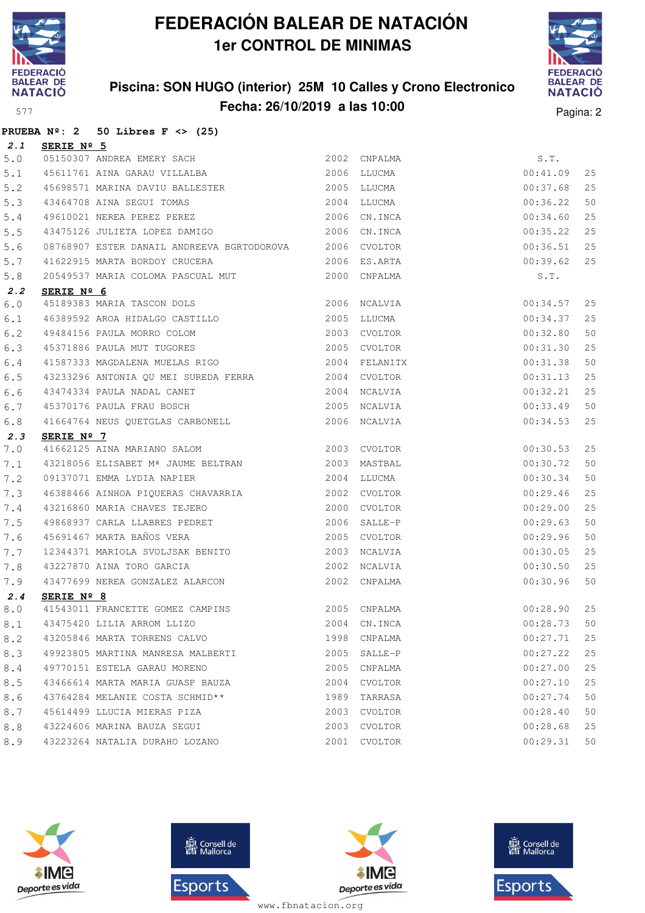

### **Piscina: SON HUGO (interior) 25M 10 Calles y Crono Electronico Fecha: 26/10/2019 a las 10:00** Pagina: 2



|       | PRUEBA $N^{\circ}$ : 2 50 Libres F <> (25)                                                                                                                                                                                                    |             |              |          |    |
|-------|-----------------------------------------------------------------------------------------------------------------------------------------------------------------------------------------------------------------------------------------------|-------------|--------------|----------|----|
| 2.1   | SERIE Nº 5                                                                                                                                                                                                                                    |             |              |          |    |
| $5.0$ | 05150307 ANDREA EMERY SACH<br>45611761 AINA GARAU VILLALBA                                                                                                                                                                                    |             | 2002 CNPALMA | S.T.     |    |
| 5.1   |                                                                                                                                                                                                                                               |             | 2006 LLUCMA  | 00:41.09 | 25 |
| 5.2   | 45698571 MARINA DAVIU BALLESTER 2005 LLUCMA                                                                                                                                                                                                   |             |              | 00:37.68 | 25 |
| 5.3   |                                                                                                                                                                                                                                               |             |              | 00:36.22 | 50 |
| 5.4   |                                                                                                                                                                                                                                               |             |              | 00:34.60 | 25 |
| 5.5   | 43475126 JULIETA LOPEZ DAMIGO 2006 CN.INCA                                                                                                                                                                                                    |             |              | 00:35.22 | 25 |
| 5.6   | 08768907 ESTER DANAIL ANDREEVA BGRTODOROVA 2006 CVOLTOR                                                                                                                                                                                       |             |              | 00:36.51 | 25 |
| 5.7   | 41622915 MARTA BORDOY CRUCERA 2006 ES.ARTA                                                                                                                                                                                                    |             |              | 00:39.62 | 25 |
| 5.8   | 20549537 MARIA COLOMA PASCUAL MUT                                                                                                                                                                                                             |             | 2000 CNPALMA | S.T.     |    |
| 2.2   | SERIE Nº 6                                                                                                                                                                                                                                    |             |              |          |    |
| 6.0   | 45189383 MARIA TASCON DOLS 2006 NCALVIA                                                                                                                                                                                                       |             |              | 00:34.57 | 25 |
| 6.1   | 46389592 AROA HIDALGO CASTILLO 2005 LLUCMA                                                                                                                                                                                                    |             |              | 00:34.37 | 25 |
| 6.2   | 2003 CVOLTOR<br>2003 CVOLTOR<br>2005 CVOLTOR<br>49484156 PAULA MORRO COLOM                                                                                                                                                                    |             |              | 00:32.80 | 50 |
| 6.3   | 45371886 PAULA MUT TUGORES                                                                                                                                                                                                                    |             |              | 00:31.30 | 25 |
| 6.4   |                                                                                                                                                                                                                                               |             |              | 00:31.38 | 50 |
| 6.5   | 43233296 ANTONIA QU MEI SUREDA FERRA 2004 CVOLTOR                                                                                                                                                                                             |             |              | 00:31.13 | 25 |
| 6.6   | 43474334 PAULA NADAL CANET                                                                                                                                                                                                                    |             | 2004 NCALVIA | 00:32.21 | 25 |
| 6.7   | 45370176 PAULA FRAU BOSCH                                                                                                                                                                                                                     |             | 2005 NCALVIA | 00:33.49 | 50 |
| 6.8   | $41664764$ NEUS QUETGLAS CARBONELL $\hfill$ 2006 NCALVIA                                                                                                                                                                                      |             |              | 00:34.53 | 25 |
| 2.3   | SERIE $N^{\circ}$ 7                                                                                                                                                                                                                           |             |              |          |    |
| 7.0   | 41662125 AINA MARIANO SALOM 2003 CVOLTOR                                                                                                                                                                                                      |             |              | 00:30.53 | 25 |
| 7.1   | 43218056 ELISABET Mª JAUME BELTRAN<br><br>2003 MASTBAL                                                                                                                                                                                        |             |              | 00:30.72 | 50 |
| 7.2   | 09137071 EMMA LYDIA NAPIER                                                                                                                                                                                                                    | 2004 LLUCMA |              | 00:30.34 | 50 |
| 7.3   | 46388466 AINHOA PIQUERAS CHAVARRIA 46388466 AINHOA PIQUERAS CHAVARRIA                                                                                                                                                                         |             |              | 00:29.46 | 25 |
| 7.4   | 43216860 MARIA CHAVES TEJERO                                                                                                                                                                                                                  |             | 2000 CVOLTOR | 00:29.00 | 25 |
| 7.5   |                                                                                                                                                                                                                                               |             | 2006 SALLE-P | 00:29.63 | 50 |
| 7.6   | 49868937 CARLA LLABRES PEDRET<br>45691467 MARTA BAÑOS VERA                                                                                                                                                                                    |             | 2005 CVOLTOR | 00:29.96 | 50 |
| 7.7   | 12344371 MARIOLA SVOLJSAK BENITO<br>2003 NCALVIA                                                                                                                                                                                              |             |              | 00:30.05 | 25 |
| 7.8   |                                                                                                                                                                                                                                               |             |              | 00:30.50 | 25 |
| 7.9   | $\begin{array}{cccc} \texttt{43227870} & \texttt{AINA} & \texttt{TORO} & \texttt{GARCHA} & \texttt{2002} & \texttt{NCALVIA} \\ \texttt{43477699} & \texttt{NEREA} & \texttt{GONZALEZ ALARCON} & \texttt{2002} & \texttt{CNPALMA} \end{array}$ |             |              | 00:30.96 | 50 |
| 2.4   | SERIE Nº 8                                                                                                                                                                                                                                    |             |              |          |    |
| 8.0   | 2005 CNPALMA<br>41543011 FRANCETTE GOMEZ CAMPINS                                                                                                                                                                                              |             |              | 00:28.90 | 25 |
| 8.1   | 43475420 LILIA ARROM LLIZO                                                                                                                                                                                                                    | 2004        | CN.INCA      | 00:28.73 | 50 |
| 8.2   | 43205846 MARTA TORRENS CALVO                                                                                                                                                                                                                  | 1998        | CNPALMA      | 00:27.71 | 25 |
| 8.3   | 49923805 MARTINA MANRESA MALBERTI                                                                                                                                                                                                             |             | 2005 SALLE-P | 00:27.22 | 25 |
| 8.4   | 49770151 ESTELA GARAU MORENO                                                                                                                                                                                                                  |             | 2005 CNPALMA | 00:27.00 | 25 |
| 8.5   | 43466614 MARTA MARIA GUASP BAUZA                                                                                                                                                                                                              | 2004        | CVOLTOR      | 00:27.10 | 25 |
| 8.6   | 43764284 MELANIE COSTA SCHMID**                                                                                                                                                                                                               | 1989        | TARRASA      | 00:27.74 | 50 |
| 8.7   | 45614499 LLUCIA MIERAS PIZA                                                                                                                                                                                                                   |             | 2003 CVOLTOR | 00:28.40 | 50 |
| 8.8   | 43224606 MARINA BAUZA SEGUI                                                                                                                                                                                                                   | 2003        | CVOLTOR      | 00:28.68 | 25 |
| 8.9   | 43223264 NATALIA DURAHO LOZANO                                                                                                                                                                                                                | 2001        | CVOLTOR      | 00:29.31 | 50 |







**感** Consell de Esports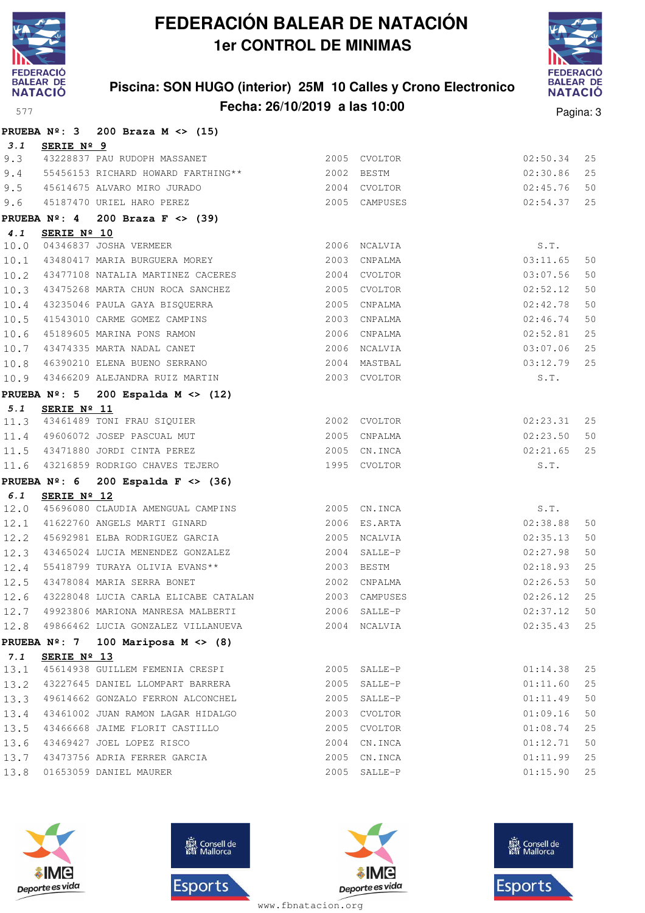

### **Piscina: SON HUGO (interior) 25M 10 Calles y Crono Electronico Fecha: 26/10/2019 a las 10:00** Pagina: 3



|      | PRUEBA $N^{\circ}$ : 3 200 Braza M <> (15) |                                                                                                                                                                                                                                                                                                                                                                                                                                                                                                                                                                                                                                                                                                                                                                                                                                                                                                                                                                                                                             |                                                                                                                                                                             |                                                                                                                                                                                                                                                                                                                                                                                                                                                                                                                                                                                                                                                                                                                                                                                                                                                         |                                                                                                                                      |
|------|--------------------------------------------|-----------------------------------------------------------------------------------------------------------------------------------------------------------------------------------------------------------------------------------------------------------------------------------------------------------------------------------------------------------------------------------------------------------------------------------------------------------------------------------------------------------------------------------------------------------------------------------------------------------------------------------------------------------------------------------------------------------------------------------------------------------------------------------------------------------------------------------------------------------------------------------------------------------------------------------------------------------------------------------------------------------------------------|-----------------------------------------------------------------------------------------------------------------------------------------------------------------------------|---------------------------------------------------------------------------------------------------------------------------------------------------------------------------------------------------------------------------------------------------------------------------------------------------------------------------------------------------------------------------------------------------------------------------------------------------------------------------------------------------------------------------------------------------------------------------------------------------------------------------------------------------------------------------------------------------------------------------------------------------------------------------------------------------------------------------------------------------------|--------------------------------------------------------------------------------------------------------------------------------------|
|      |                                            |                                                                                                                                                                                                                                                                                                                                                                                                                                                                                                                                                                                                                                                                                                                                                                                                                                                                                                                                                                                                                             |                                                                                                                                                                             |                                                                                                                                                                                                                                                                                                                                                                                                                                                                                                                                                                                                                                                                                                                                                                                                                                                         |                                                                                                                                      |
|      |                                            |                                                                                                                                                                                                                                                                                                                                                                                                                                                                                                                                                                                                                                                                                                                                                                                                                                                                                                                                                                                                                             |                                                                                                                                                                             | 02:50.34                                                                                                                                                                                                                                                                                                                                                                                                                                                                                                                                                                                                                                                                                                                                                                                                                                                | 25                                                                                                                                   |
|      |                                            |                                                                                                                                                                                                                                                                                                                                                                                                                                                                                                                                                                                                                                                                                                                                                                                                                                                                                                                                                                                                                             |                                                                                                                                                                             | 02:30.86                                                                                                                                                                                                                                                                                                                                                                                                                                                                                                                                                                                                                                                                                                                                                                                                                                                | 25                                                                                                                                   |
|      |                                            |                                                                                                                                                                                                                                                                                                                                                                                                                                                                                                                                                                                                                                                                                                                                                                                                                                                                                                                                                                                                                             |                                                                                                                                                                             | 02:45.76                                                                                                                                                                                                                                                                                                                                                                                                                                                                                                                                                                                                                                                                                                                                                                                                                                                | 50                                                                                                                                   |
|      |                                            |                                                                                                                                                                                                                                                                                                                                                                                                                                                                                                                                                                                                                                                                                                                                                                                                                                                                                                                                                                                                                             |                                                                                                                                                                             | 02:54.37                                                                                                                                                                                                                                                                                                                                                                                                                                                                                                                                                                                                                                                                                                                                                                                                                                                | 25                                                                                                                                   |
|      |                                            |                                                                                                                                                                                                                                                                                                                                                                                                                                                                                                                                                                                                                                                                                                                                                                                                                                                                                                                                                                                                                             |                                                                                                                                                                             |                                                                                                                                                                                                                                                                                                                                                                                                                                                                                                                                                                                                                                                                                                                                                                                                                                                         |                                                                                                                                      |
|      |                                            |                                                                                                                                                                                                                                                                                                                                                                                                                                                                                                                                                                                                                                                                                                                                                                                                                                                                                                                                                                                                                             |                                                                                                                                                                             |                                                                                                                                                                                                                                                                                                                                                                                                                                                                                                                                                                                                                                                                                                                                                                                                                                                         |                                                                                                                                      |
|      |                                            |                                                                                                                                                                                                                                                                                                                                                                                                                                                                                                                                                                                                                                                                                                                                                                                                                                                                                                                                                                                                                             |                                                                                                                                                                             |                                                                                                                                                                                                                                                                                                                                                                                                                                                                                                                                                                                                                                                                                                                                                                                                                                                         |                                                                                                                                      |
|      |                                            |                                                                                                                                                                                                                                                                                                                                                                                                                                                                                                                                                                                                                                                                                                                                                                                                                                                                                                                                                                                                                             |                                                                                                                                                                             |                                                                                                                                                                                                                                                                                                                                                                                                                                                                                                                                                                                                                                                                                                                                                                                                                                                         | 50                                                                                                                                   |
|      |                                            |                                                                                                                                                                                                                                                                                                                                                                                                                                                                                                                                                                                                                                                                                                                                                                                                                                                                                                                                                                                                                             |                                                                                                                                                                             |                                                                                                                                                                                                                                                                                                                                                                                                                                                                                                                                                                                                                                                                                                                                                                                                                                                         | 50                                                                                                                                   |
|      |                                            |                                                                                                                                                                                                                                                                                                                                                                                                                                                                                                                                                                                                                                                                                                                                                                                                                                                                                                                                                                                                                             |                                                                                                                                                                             |                                                                                                                                                                                                                                                                                                                                                                                                                                                                                                                                                                                                                                                                                                                                                                                                                                                         | 50                                                                                                                                   |
| 10.4 |                                            |                                                                                                                                                                                                                                                                                                                                                                                                                                                                                                                                                                                                                                                                                                                                                                                                                                                                                                                                                                                                                             |                                                                                                                                                                             |                                                                                                                                                                                                                                                                                                                                                                                                                                                                                                                                                                                                                                                                                                                                                                                                                                                         | 50                                                                                                                                   |
|      |                                            |                                                                                                                                                                                                                                                                                                                                                                                                                                                                                                                                                                                                                                                                                                                                                                                                                                                                                                                                                                                                                             |                                                                                                                                                                             | 02:46.74                                                                                                                                                                                                                                                                                                                                                                                                                                                                                                                                                                                                                                                                                                                                                                                                                                                | 50                                                                                                                                   |
|      |                                            |                                                                                                                                                                                                                                                                                                                                                                                                                                                                                                                                                                                                                                                                                                                                                                                                                                                                                                                                                                                                                             |                                                                                                                                                                             | 02:52.81                                                                                                                                                                                                                                                                                                                                                                                                                                                                                                                                                                                                                                                                                                                                                                                                                                                | 25                                                                                                                                   |
|      |                                            |                                                                                                                                                                                                                                                                                                                                                                                                                                                                                                                                                                                                                                                                                                                                                                                                                                                                                                                                                                                                                             |                                                                                                                                                                             | 03:07.06                                                                                                                                                                                                                                                                                                                                                                                                                                                                                                                                                                                                                                                                                                                                                                                                                                                | 25                                                                                                                                   |
|      |                                            |                                                                                                                                                                                                                                                                                                                                                                                                                                                                                                                                                                                                                                                                                                                                                                                                                                                                                                                                                                                                                             |                                                                                                                                                                             | 03:12.79                                                                                                                                                                                                                                                                                                                                                                                                                                                                                                                                                                                                                                                                                                                                                                                                                                                | 25                                                                                                                                   |
| 10.9 |                                            |                                                                                                                                                                                                                                                                                                                                                                                                                                                                                                                                                                                                                                                                                                                                                                                                                                                                                                                                                                                                                             |                                                                                                                                                                             | S.T.                                                                                                                                                                                                                                                                                                                                                                                                                                                                                                                                                                                                                                                                                                                                                                                                                                                    |                                                                                                                                      |
|      |                                            |                                                                                                                                                                                                                                                                                                                                                                                                                                                                                                                                                                                                                                                                                                                                                                                                                                                                                                                                                                                                                             |                                                                                                                                                                             |                                                                                                                                                                                                                                                                                                                                                                                                                                                                                                                                                                                                                                                                                                                                                                                                                                                         |                                                                                                                                      |
|      |                                            |                                                                                                                                                                                                                                                                                                                                                                                                                                                                                                                                                                                                                                                                                                                                                                                                                                                                                                                                                                                                                             |                                                                                                                                                                             |                                                                                                                                                                                                                                                                                                                                                                                                                                                                                                                                                                                                                                                                                                                                                                                                                                                         |                                                                                                                                      |
|      |                                            |                                                                                                                                                                                                                                                                                                                                                                                                                                                                                                                                                                                                                                                                                                                                                                                                                                                                                                                                                                                                                             |                                                                                                                                                                             | 02:23.31                                                                                                                                                                                                                                                                                                                                                                                                                                                                                                                                                                                                                                                                                                                                                                                                                                                | 25                                                                                                                                   |
|      |                                            |                                                                                                                                                                                                                                                                                                                                                                                                                                                                                                                                                                                                                                                                                                                                                                                                                                                                                                                                                                                                                             |                                                                                                                                                                             | 02:23.50                                                                                                                                                                                                                                                                                                                                                                                                                                                                                                                                                                                                                                                                                                                                                                                                                                                | 50                                                                                                                                   |
|      |                                            |                                                                                                                                                                                                                                                                                                                                                                                                                                                                                                                                                                                                                                                                                                                                                                                                                                                                                                                                                                                                                             |                                                                                                                                                                             | 02:21.65                                                                                                                                                                                                                                                                                                                                                                                                                                                                                                                                                                                                                                                                                                                                                                                                                                                | 25                                                                                                                                   |
|      |                                            |                                                                                                                                                                                                                                                                                                                                                                                                                                                                                                                                                                                                                                                                                                                                                                                                                                                                                                                                                                                                                             |                                                                                                                                                                             | S.T.                                                                                                                                                                                                                                                                                                                                                                                                                                                                                                                                                                                                                                                                                                                                                                                                                                                    |                                                                                                                                      |
|      |                                            |                                                                                                                                                                                                                                                                                                                                                                                                                                                                                                                                                                                                                                                                                                                                                                                                                                                                                                                                                                                                                             |                                                                                                                                                                             |                                                                                                                                                                                                                                                                                                                                                                                                                                                                                                                                                                                                                                                                                                                                                                                                                                                         |                                                                                                                                      |
|      |                                            |                                                                                                                                                                                                                                                                                                                                                                                                                                                                                                                                                                                                                                                                                                                                                                                                                                                                                                                                                                                                                             |                                                                                                                                                                             |                                                                                                                                                                                                                                                                                                                                                                                                                                                                                                                                                                                                                                                                                                                                                                                                                                                         |                                                                                                                                      |
| 12.0 |                                            |                                                                                                                                                                                                                                                                                                                                                                                                                                                                                                                                                                                                                                                                                                                                                                                                                                                                                                                                                                                                                             |                                                                                                                                                                             |                                                                                                                                                                                                                                                                                                                                                                                                                                                                                                                                                                                                                                                                                                                                                                                                                                                         |                                                                                                                                      |
|      |                                            |                                                                                                                                                                                                                                                                                                                                                                                                                                                                                                                                                                                                                                                                                                                                                                                                                                                                                                                                                                                                                             |                                                                                                                                                                             |                                                                                                                                                                                                                                                                                                                                                                                                                                                                                                                                                                                                                                                                                                                                                                                                                                                         | 50                                                                                                                                   |
|      |                                            |                                                                                                                                                                                                                                                                                                                                                                                                                                                                                                                                                                                                                                                                                                                                                                                                                                                                                                                                                                                                                             |                                                                                                                                                                             |                                                                                                                                                                                                                                                                                                                                                                                                                                                                                                                                                                                                                                                                                                                                                                                                                                                         | 50                                                                                                                                   |
| 12.3 |                                            |                                                                                                                                                                                                                                                                                                                                                                                                                                                                                                                                                                                                                                                                                                                                                                                                                                                                                                                                                                                                                             |                                                                                                                                                                             |                                                                                                                                                                                                                                                                                                                                                                                                                                                                                                                                                                                                                                                                                                                                                                                                                                                         | 50                                                                                                                                   |
| 12.4 |                                            |                                                                                                                                                                                                                                                                                                                                                                                                                                                                                                                                                                                                                                                                                                                                                                                                                                                                                                                                                                                                                             |                                                                                                                                                                             | 02:18.93                                                                                                                                                                                                                                                                                                                                                                                                                                                                                                                                                                                                                                                                                                                                                                                                                                                | 25                                                                                                                                   |
|      |                                            |                                                                                                                                                                                                                                                                                                                                                                                                                                                                                                                                                                                                                                                                                                                                                                                                                                                                                                                                                                                                                             |                                                                                                                                                                             |                                                                                                                                                                                                                                                                                                                                                                                                                                                                                                                                                                                                                                                                                                                                                                                                                                                         | 50                                                                                                                                   |
|      |                                            |                                                                                                                                                                                                                                                                                                                                                                                                                                                                                                                                                                                                                                                                                                                                                                                                                                                                                                                                                                                                                             |                                                                                                                                                                             |                                                                                                                                                                                                                                                                                                                                                                                                                                                                                                                                                                                                                                                                                                                                                                                                                                                         | 25                                                                                                                                   |
|      |                                            |                                                                                                                                                                                                                                                                                                                                                                                                                                                                                                                                                                                                                                                                                                                                                                                                                                                                                                                                                                                                                             |                                                                                                                                                                             | $02:37.12$ 50                                                                                                                                                                                                                                                                                                                                                                                                                                                                                                                                                                                                                                                                                                                                                                                                                                           |                                                                                                                                      |
|      |                                            |                                                                                                                                                                                                                                                                                                                                                                                                                                                                                                                                                                                                                                                                                                                                                                                                                                                                                                                                                                                                                             |                                                                                                                                                                             | 02:35.43                                                                                                                                                                                                                                                                                                                                                                                                                                                                                                                                                                                                                                                                                                                                                                                                                                                | 25                                                                                                                                   |
|      |                                            |                                                                                                                                                                                                                                                                                                                                                                                                                                                                                                                                                                                                                                                                                                                                                                                                                                                                                                                                                                                                                             |                                                                                                                                                                             |                                                                                                                                                                                                                                                                                                                                                                                                                                                                                                                                                                                                                                                                                                                                                                                                                                                         |                                                                                                                                      |
|      |                                            |                                                                                                                                                                                                                                                                                                                                                                                                                                                                                                                                                                                                                                                                                                                                                                                                                                                                                                                                                                                                                             |                                                                                                                                                                             |                                                                                                                                                                                                                                                                                                                                                                                                                                                                                                                                                                                                                                                                                                                                                                                                                                                         |                                                                                                                                      |
|      |                                            |                                                                                                                                                                                                                                                                                                                                                                                                                                                                                                                                                                                                                                                                                                                                                                                                                                                                                                                                                                                                                             |                                                                                                                                                                             | 01:14.38                                                                                                                                                                                                                                                                                                                                                                                                                                                                                                                                                                                                                                                                                                                                                                                                                                                | 25                                                                                                                                   |
|      |                                            |                                                                                                                                                                                                                                                                                                                                                                                                                                                                                                                                                                                                                                                                                                                                                                                                                                                                                                                                                                                                                             |                                                                                                                                                                             |                                                                                                                                                                                                                                                                                                                                                                                                                                                                                                                                                                                                                                                                                                                                                                                                                                                         | 25                                                                                                                                   |
|      |                                            |                                                                                                                                                                                                                                                                                                                                                                                                                                                                                                                                                                                                                                                                                                                                                                                                                                                                                                                                                                                                                             |                                                                                                                                                                             | 01:11.49                                                                                                                                                                                                                                                                                                                                                                                                                                                                                                                                                                                                                                                                                                                                                                                                                                                | 50                                                                                                                                   |
|      |                                            |                                                                                                                                                                                                                                                                                                                                                                                                                                                                                                                                                                                                                                                                                                                                                                                                                                                                                                                                                                                                                             |                                                                                                                                                                             | 01:09.16                                                                                                                                                                                                                                                                                                                                                                                                                                                                                                                                                                                                                                                                                                                                                                                                                                                | 50                                                                                                                                   |
|      |                                            |                                                                                                                                                                                                                                                                                                                                                                                                                                                                                                                                                                                                                                                                                                                                                                                                                                                                                                                                                                                                                             |                                                                                                                                                                             | 01:08.74                                                                                                                                                                                                                                                                                                                                                                                                                                                                                                                                                                                                                                                                                                                                                                                                                                                | 25                                                                                                                                   |
|      |                                            |                                                                                                                                                                                                                                                                                                                                                                                                                                                                                                                                                                                                                                                                                                                                                                                                                                                                                                                                                                                                                             |                                                                                                                                                                             | 01:12.71                                                                                                                                                                                                                                                                                                                                                                                                                                                                                                                                                                                                                                                                                                                                                                                                                                                | 50                                                                                                                                   |
|      |                                            |                                                                                                                                                                                                                                                                                                                                                                                                                                                                                                                                                                                                                                                                                                                                                                                                                                                                                                                                                                                                                             |                                                                                                                                                                             | 01:11.99                                                                                                                                                                                                                                                                                                                                                                                                                                                                                                                                                                                                                                                                                                                                                                                                                                                | 25                                                                                                                                   |
|      |                                            |                                                                                                                                                                                                                                                                                                                                                                                                                                                                                                                                                                                                                                                                                                                                                                                                                                                                                                                                                                                                                             |                                                                                                                                                                             | 01:15.90                                                                                                                                                                                                                                                                                                                                                                                                                                                                                                                                                                                                                                                                                                                                                                                                                                                | 25                                                                                                                                   |
|      |                                            | 3.1 SERIE Nº 9<br>9.4 55456153 RICHARD HOWARD FARTHING**<br>45614675 ALVARO MIRO JURADO<br>9.6 45187470 URIEL HARO PEREZ<br>PRUEBA $N^{\circ}$ : 4 200 Braza F <> (39)<br>SERIE Nº 10<br>10.0 04346837 JOSHA VERMEER<br>43477108 NATALIA MARTINEZ CACERES<br>10.6 45189605 MARINA PONS RAMON<br>10.7 43474335 MARTA NADAL CANET<br>10.8 46390210 ELENA BUENO SERRANO<br>PRUEBA $N^{\circ}$ : 5 200 Espalda M <> (12)<br>SERIE Nº 11<br>11.3 43461489 TONI FRAU SIQUIER<br>11.4 49606072 JOSEP PASCUAL MUT<br>11.5 43471880 JORDI CINTA PEREZ<br>11.6 43216859 RODRIGO CHAVES TEJERO<br>PRUEBA $N^{\circ}$ : 6 200 Espalda F <> (36)<br>SERIE Nº 12<br>12.1 41622760 ANGELS MARTI GINARD<br>43478084 MARIA SERRA BONET<br>PRUEBA $N^{\circ}$ : 7 100 Mariposa M <> (8)<br>SERIE Nº 13<br>43227645 DANIEL LLOMPART BARRERA<br>49614662 GONZALO FERRON ALCONCHEL<br>43461002 JUAN RAMON LAGAR HIDALGO<br>43466668 JAIME FLORIT CASTILLO<br>43469427 JOEL LOPEZ RISCO<br>43473756 ADRIA FERRER GARCIA<br>01653059 DANIEL MAURER | 9.3 43228837 PAU RUDOPH MASSANET<br>43475268 MARTA CHUN ROCA SANCHEZ<br>43235046 PAULA GAYA BISQUERRA<br>55418799 TURAYA OLIVIA EVANS **<br>45614938 GUILLEM FEMENIA CRESPI | 2005 CVOLTOR<br>2002 BESTM<br>2004 CVOLTOR<br>2005 CAMPUSES<br>2006 NCALVIA<br>10.1 43480417 MARIA BURGUERA MOREY 2003 CNPALMA<br>2004 CVOLTOR<br>2005 CVOLTOR<br>2005 CNPALMA<br>10.5 41543010 CARME GOMEZ CAMPINS 2003 CNPALMA<br>2006 CNPALMA<br>2006 NCALVIA<br>2004 MASTBAL<br>43466209 ALEJANDRA RUIZ MARTIN 2003 CVOLTOR<br>2002 CVOLTOR<br>2005 CNPALMA<br>2005 CN. INCA<br>1995 CVOLTOR<br>45696080 CLAUDIA AMENGUAL CAMPINS 2005 CN.INCA<br>2006 ES.ARTA<br>45692981 ELBA RODRIGUEZ GARCIA (2005) NCALVIA<br>43465024 LUCIA MENENDEZ GONZALEZ 6000 2004 SALLE-P<br>2003 BESTM<br>2002 CNPALMA<br>43228048 LUCIA CARLA ELICABE CATALAN 2003 CAMPUSES<br>12.8 49866462 LUCIA GONZALEZ VILLANUEVA 2004 NCALVIA<br>2005 SALLE-P<br>2005 SALLE-P<br>2005 SALLE-P<br>2003 CVOLTOR<br>2005 CVOLTOR<br>2004 CN. INCA<br>2005 CN. INCA<br>2005 SALLE-P | S.T.<br>03:11.65<br>03:07.56<br>02:52.12<br>02:42.78<br>S.T.<br>02:38.88<br>02:35.13<br>02:27.98<br>02:26.53<br>02:26.12<br>01:11.60 |







**感** Consell de Esports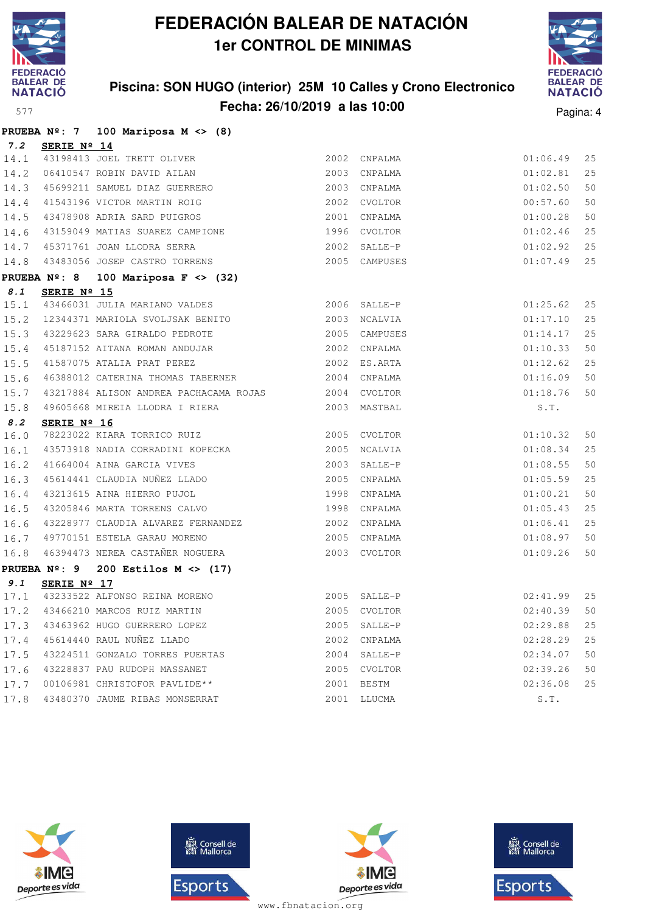

### **Piscina: SON HUGO (interior) 25M 10 Calles y Crono Electronico Fecha: 26/10/2019 a las 10:00** Pagina: 4



|      |                 | PRUEBA $N^{\circ}$ : 7 100 Mariposa M <> (8)                                                   |              |              |               |    |
|------|-----------------|------------------------------------------------------------------------------------------------|--------------|--------------|---------------|----|
|      | 7.2 SERIE Nº 14 |                                                                                                |              |              |               |    |
|      |                 |                                                                                                |              | 2002 CNPALMA | 01:06.49      | 25 |
|      |                 | 14.1 43198413 JOEL TRETT OLIVER<br>14.2 06410547 ROBIN DAVID AILAN                             |              | 2003 CNPALMA | 01:02.81      | 25 |
| 14.3 |                 | 45699211 SAMUEL DIAZ GUERRERO<br>41543196 VICTOR MARTIN ROIG                                   |              | 2003 CNPALMA | 01:02.50      | 50 |
| 14.4 |                 |                                                                                                |              | 2002 CVOLTOR | 00:57.60      | 50 |
|      |                 | 14.5 43478908 ADRIA SARD PUIGROS                                                               |              | 2001 CNPALMA | 01:00.28      | 50 |
| 14.6 |                 | 43159049 MATIAS SUAREZ CAMPIONE 1996 CVOLTOR                                                   |              |              | 01:02.46      | 25 |
| 14.7 |                 | 45371761 JOAN LLODRA SERRA<br>2002 SALLE-P                                                     |              |              | 01:02.92      | 25 |
| 14.8 |                 | 43483056 JOSEP CASTRO TORRENS 2005 CAMPUSES                                                    |              |              | 01:07.49      | 25 |
|      |                 | PRUEBA $N^{\circ}$ : 8 100 Mariposa F <> (32)                                                  |              |              |               |    |
| 8.1  | SERIE Nº 15     |                                                                                                |              |              |               |    |
|      |                 | 15.1 43466031 JULIA MARIANO VALDES 2006 SALLE-P                                                |              |              | 01:25.62      | 25 |
|      |                 | 15.2 12344371 MARIOLA SVOLJSAK BENITO 2003 NCALVIA                                             |              |              | 01:17.10      | 25 |
|      |                 | 15.3 43229623 SARA GIRALDO PEDROTE 6 15.4 45187152 AITANA ROMAN ANDUJAR 2002 CNPALMA           |              |              | 01:14.17      | 25 |
|      |                 |                                                                                                |              |              | 01:10.33      | 50 |
| 15.5 |                 | 41587075 ATALIA PRAT PEREZ 2002 ES.ARTA                                                        |              |              | 01:12.62      | 25 |
| 15.6 |                 | 46388012 CATERINA THOMAS TABERNER 2004 CNPALMA                                                 |              |              | 01:16.09      | 50 |
| 15.7 |                 | 43217884 ALISON ANDREA PACHACAMA ROJAS 2004 CVOLTOR                                            |              |              | 01:18.76      | 50 |
| 15.8 |                 | 49605668 MIREIA LLODRA I RIERA 2003 MASTBAL                                                    |              |              | S.T.          |    |
| 8.2  | SERIE Nº 16     |                                                                                                |              |              |               |    |
| 16.0 |                 | 78223022 KIARA TORRICO RUIZ 2005 CVOLTOR                                                       |              |              | 01:10.32      | 50 |
| 16.1 |                 | 43573918 NADIA CORRADINI KOPECKA 2005 NCALVIA                                                  |              |              | 01:08.34      | 25 |
|      |                 | 16.2 41664004 AINA GARCIA VIVES 2003 SALLE-P<br>16.3 45614441 CLAUDIA NUÑEZ LLADO 2005 CNPALMA |              | 2003 SALLE-P | 01:08.55      | 50 |
|      |                 |                                                                                                |              |              | 01:05.59      | 25 |
| 16.4 |                 | 43213615 AINA HIERRO PUJOL                                                                     | 1998 CNPALMA |              | 01:00.21      | 50 |
| 16.5 |                 | 43205846 MARTA TORRENS CALVO 1998 CNPALMA                                                      |              |              | 01:05.43      | 25 |
| 16.6 |                 | 43228977 CLAUDIA ALVAREZ FERNANDEZ                                                             |              | 2002 CNPALMA | 01:06.41      | 25 |
| 16.7 |                 | 49770151 ESTELA GARAU MORENO                                                                   | 2005 CNPALMA |              | 01:08.97      | 50 |
| 16.8 |                 | 46394473 NEREA CASTAÑER NOGUERA 2003 CVOLTOR                                                   |              |              | 01:09.26      | 50 |
|      |                 | PRUEBA $N^{\circ}$ : 9 200 Estilos M <> (17)                                                   |              |              |               |    |
| 9.1  | SERIE Nº 17     |                                                                                                |              |              |               |    |
|      |                 | 17.1 43233522 ALFONSO REINA MORENO<br>17.2 43466210 MARCOS RUIZ MARTIN 2005 CVOLTOR            |              |              | $02:41.99$ 25 |    |
| 17.2 |                 |                                                                                                |              |              | 02:40.39      | 50 |
| 17.3 |                 | 43463962 HUGO GUERRERO LOPEZ                                                                   | 2005         | SALLE-P      | 02:29.88      | 25 |
| 17.4 |                 | 45614440 RAUL NUÑEZ LLADO                                                                      | 2002         | CNPALMA      | 02:28.29      | 25 |
| 17.5 |                 | 43224511 GONZALO TORRES PUERTAS                                                                |              | 2004 SALLE-P | 02:34.07      | 50 |
| 17.6 |                 | 43228837 PAU RUDOPH MASSANET                                                                   | 2005         | CVOLTOR      | 02:39.26      | 50 |
| 17.7 |                 | 00106981 CHRISTOFOR PAVLIDE**                                                                  | 2001         | BESTM        | 02:36.08      | 25 |
| 17.8 |                 | 43480370 JAUME RIBAS MONSERRAT                                                                 |              | 2001 LLUCMA  | S.T.          |    |







**感** Consell de Esports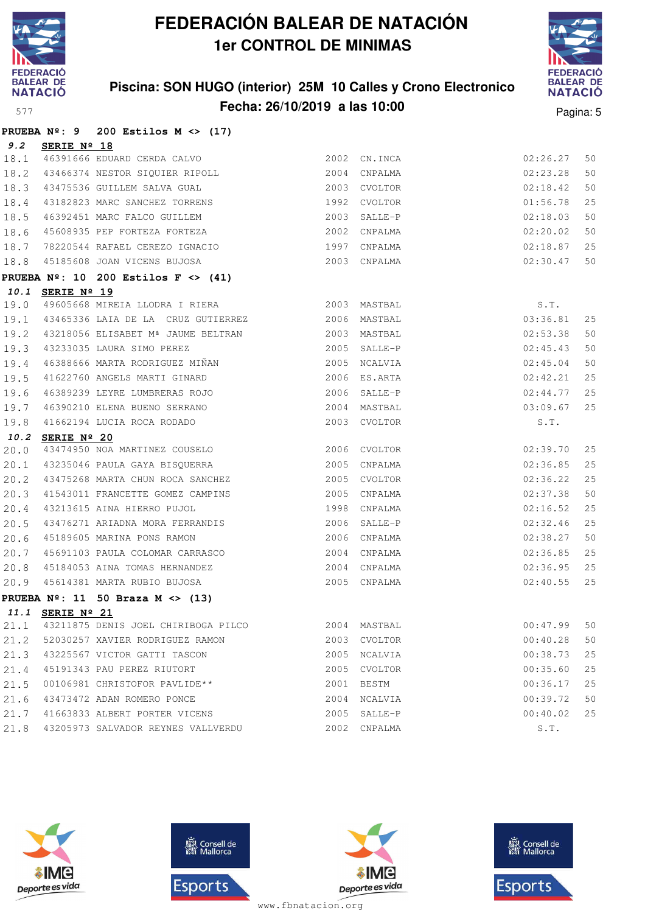

### **Piscina: SON HUGO (interior) 25M 10 Calles y Crono Electronico Fecha: 26/10/2019 a las 10:00** Pagina: 5



|      |                  | PRUEBA $N^2$ : 9 200 Estilos M <> (17)                        |      |               |          |    |
|------|------------------|---------------------------------------------------------------|------|---------------|----------|----|
| 9.2  | SERIE Nº 18      |                                                               |      |               |          |    |
| 18.1 |                  |                                                               |      | 2002 CN. INCA | 02:26.27 | 50 |
| 18.2 |                  | 46391666 EDUARD CERDA CALVO<br>43466374 NESTOR SIQUIER RIPOLL | 2004 | CNPALMA       | 02:23.28 | 50 |
| 18.3 |                  | 43475536 GUILLEM SALVA GUAL                                   |      | 2003 CVOLTOR  | 02:18.42 | 50 |
| 18.4 |                  | 43182823 MARC SANCHEZ TORRENS                                 | 1992 | CVOLTOR       | 01:56.78 | 25 |
| 18.5 |                  | 46392451 MARC FALCO GUILLEM                                   | 2003 | SALLE-P       | 02:18.03 | 50 |
| 18.6 |                  | 45608935 PEP FORTEZA FORTEZA                                  | 2002 | CNPALMA       | 02:20.02 | 50 |
| 18.7 |                  | 78220544 RAFAEL CEREZO IGNACIO 1997                           |      | CNPALMA       | 02:18.87 | 25 |
| 18.8 |                  | 45185608 JOAN VICENS BUJOSA                                   |      | 2003 CNPALMA  | 02:30.47 | 50 |
|      |                  | PRUEBA $N^{\circ}$ : 10 200 Estilos F <> (41)                 |      |               |          |    |
|      | 10.1 SERIE Nº 19 |                                                               |      |               |          |    |
| 19.0 |                  | 49605668 MIREIA LLODRA I RIERA (2003) MASTBAL                 |      |               | S.T.     |    |
| 19.1 |                  | 43465336 LAIA DE LA CRUZ GUTIERREZ 2006                       |      | MASTBAL       | 03:36.81 | 25 |
| 19.2 |                  | 43218056 ELISABET Mª JAUME BELTRAN                            |      | 2003 MASTBAL  | 02:53.38 | 50 |
| 19.3 |                  | 43233035 LAURA SIMO PEREZ                                     |      | 2005 SALLE-P  | 02:45.43 | 50 |
| 19.4 |                  | 46388666 MARTA RODRIGUEZ MIÑAN                                |      | 2005 NCALVIA  | 02:45.04 | 50 |
| 19.5 |                  | 41622760 ANGELS MARTI GINARD                                  |      | 2006 ES.ARTA  | 02:42.21 | 25 |
| 19.6 |                  | 46389239 LEYRE LUMBRERAS ROJO                                 |      | 2006 SALLE-P  | 02:44.77 | 25 |
| 19.7 |                  | 46390210 ELENA BUENO SERRANO                                  |      | 2004 MASTBAL  | 03:09.67 | 25 |
| 19.8 |                  | 41662194 LUCIA ROCA RODADO                                    |      | 2003 CVOLTOR  | S.T.     |    |
|      | 10.2 SERIE Nº 20 |                                                               |      |               |          |    |
| 20.0 |                  | 43474950 NOA MARTINEZ COUSELO                                 |      | 2006 CVOLTOR  | 02:39.70 | 25 |
| 20.1 |                  | 43235046 PAULA GAYA BISQUERRA                                 |      | 2005 CNPALMA  | 02:36.85 | 25 |
| 20.2 |                  | 43475268 MARTA CHUN ROCA SANCHEZ                              |      | 2005 CVOLTOR  | 02:36.22 | 25 |
| 20.3 |                  | 41543011 FRANCETTE GOMEZ CAMPINS                              |      | 2005 CNPALMA  | 02:37.38 | 50 |
| 20.4 |                  | 43213615 AINA HIERRO PUJOL<br>43476271 ARIADNA MORA FERRANDIS |      | 1998 CNPALMA  | 02:16.52 | 25 |
| 20.5 |                  |                                                               |      | 2006 SALLE-P  | 02:32.46 | 25 |
| 20.6 |                  | 45189605 MARINA PONS RAMON                                    |      | 2006 CNPALMA  | 02:38.27 | 50 |
| 20.7 |                  | 45691103 PAULA COLOMAR CARRASCO                               | 2004 | CNPALMA       | 02:36.85 | 25 |
| 20.8 |                  | 45184053 AINA TOMAS HERNANDEZ                                 |      | 2004 CNPALMA  | 02:36.95 | 25 |
| 20.9 |                  | 45614381 MARTA RUBIO BUJOSA                                   |      | 2005 CNPALMA  | 02:40.55 | 25 |
|      |                  | PRUEBA $N^{\circ}$ : 11 50 Braza M <> (13)                    |      |               |          |    |
|      | 11.1 SERIE Nº 21 |                                                               |      |               |          |    |
| 21.1 |                  | 43211875 DENIS JOEL CHIRIBOGA PILCO                           | 2004 | MASTBAL       | 00:47.99 | 50 |
| 21.2 |                  | 52030257 XAVIER RODRIGUEZ RAMON                               | 2003 | CVOLTOR       | 00:40.28 | 50 |
| 21.3 |                  | 43225567 VICTOR GATTI TASCON                                  | 2005 | NCALVIA       | 00:38.73 | 25 |
| 21.4 |                  | 45191343 PAU PEREZ RIUTORT                                    | 2005 | CVOLTOR       | 00:35.60 | 25 |
| 21.5 |                  | 00106981 CHRISTOFOR PAVLIDE **                                | 2001 | BESTM         | 00:36.17 | 25 |
| 21.6 |                  | 43473472 ADAN ROMERO PONCE                                    | 2004 | NCALVIA       | 00:39.72 | 50 |
| 21.7 |                  | 41663833 ALBERT PORTER VICENS                                 | 2005 | SALLE-P       | 00:40.02 | 25 |
| 21.8 |                  | 43205973 SALVADOR REYNES VALLVERDU                            | 2002 | CNPALMA       | S.T.     |    |







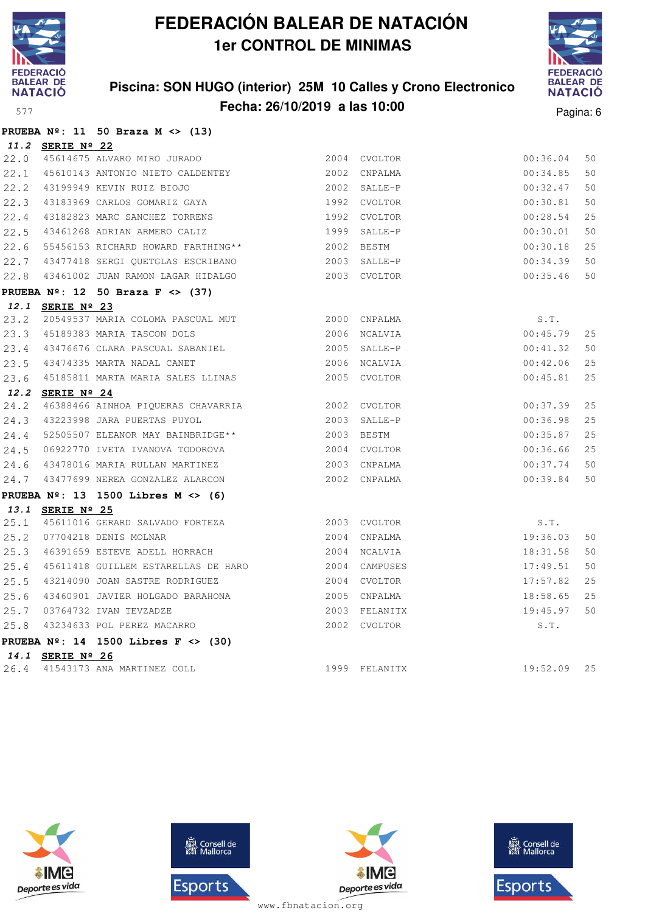

### **Piscina: SON HUGO (interior) 25M 10 Calles y Crono Electronico Fecha: 26/10/2019 a las 10:00** Pagina: 6



|      |                  | PRUEBA $N^{\circ}$ : 11 50 Braza M <> (13)        |              |               |             |    |
|------|------------------|---------------------------------------------------|--------------|---------------|-------------|----|
|      | 11.2 SERIE Nº 22 |                                                   |              |               |             |    |
| 22.0 |                  | 45614675 ALVARO MIRO JURADO                       |              | 2004 CVOLTOR  | 00:36.04    | 50 |
| 22.1 |                  | 45610143 ANTONIO NIETO CALDENTEY                  |              | 2002 CNPALMA  | 00:34.85    | 50 |
| 22.2 |                  | 43199949 KEVIN RUIZ BIOJO                         |              | 2002 SALLE-P  | 00:32.47    | 50 |
| 22.3 |                  | 43183969 CARLOS GOMARIZ GAYA                      |              | 1992 CVOLTOR  | 00:30.81    | 50 |
| 22.4 |                  | 43182823 MARC SANCHEZ TORRENS                     | 1992         | CVOLTOR       | 00:28.54    | 25 |
| 22.5 |                  | 43461268 ADRIAN ARMERO CALIZ                      | 1999         | SALLE-P       | 00:30.01    | 50 |
| 22.6 |                  | 55456153 RICHARD HOWARD FARTHING**                | 2002         | BESTM         | 00:30.18    | 25 |
|      |                  | 22.7 43477418 SERGI QUETGLAS ESCRIBANO            |              | 2003 SALLE-P  | 00:34.39    | 50 |
| 22.8 |                  | 43461002 JUAN RAMON LAGAR HIDALGO                 |              | 2003 CVOLTOR  | 00:35.46    | 50 |
|      |                  | PRUEBA $N^{\circ}$ : 12 50 Braza F <> (37)        |              |               |             |    |
|      | 12.1 SERIE Nº 23 |                                                   |              |               |             |    |
| 23.2 |                  | 20549537 MARIA COLOMA PASCUAL MUT 2000 CNPALMA    |              |               | S.T.        |    |
| 23.3 |                  | 45189383 MARIA TASCON DOLS                        | 2006 NCALVIA |               | 00:45.79    | 25 |
| 23.4 |                  | 43476676 CLARA PASCUAL SABANIEL 43476676 SALLE-P  |              |               | 00:41.32    | 50 |
| 23.5 |                  | 43474335 MARTA NADAL CANET                        |              | 2006 NCALVIA  | 00:42.06    | 25 |
| 23.6 |                  | 45185811 MARTA MARIA SALES LLINAS                 |              | 2005 CVOLTOR  | 00:45.81    | 25 |
|      | 12.2 SERIE Nº 24 |                                                   |              |               |             |    |
| 24.2 |                  | 46388466 AINHOA PIQUERAS CHAVARRIA 62002 CVOLTOR  |              |               | 00:37.39    | 25 |
|      |                  | 24.3 43223998 JARA PUERTAS PUYOL                  |              | 2003 SALLE-P  | 00:36.98    | 25 |
|      |                  | 24.4 52505507 ELEANOR MAY BAINBRIDGE** 2003 BESTM |              |               | 00:35.87    | 25 |
| 24.5 |                  | 06922770 IVETA IVANOVA TODOROVA                   |              | 2004 CVOLTOR  | 00:36.66    | 25 |
| 24.6 |                  | 43478016 MARIA RULLAN MARTINEZ                    |              | 2003 CNPALMA  | 00:37.74    | 50 |
| 24.7 |                  | 43477699 NEREA GONZALEZ ALARCON                   |              | 2002 CNPALMA  | 00:39.84    | 50 |
|      |                  | PRUEBA $N^{\circ}$ : 13 1500 Libres M <> (6)      |              |               |             |    |
|      | 13.1 SERIE Nº 25 |                                                   |              |               |             |    |
| 25.1 |                  |                                                   |              |               | S.T.        |    |
| 25.2 |                  | 07704218 DENIS MOLNAR                             |              | 2004 CNPALMA  | 19:36.03    | 50 |
| 25.3 |                  | 46391659 ESTEVE ADELL HORRACH                     |              | 2004 NCALVIA  | 18:31.58    | 50 |
| 25.4 |                  | 45611418 GUILLEM ESTARELLAS DE HARO               |              | 2004 CAMPUSES | 17:49.51    | 50 |
| 25.5 |                  | 43214090 JOAN SASTRE RODRIGUEZ                    |              | 2004 CVOLTOR  | 17:57.82    | 25 |
| 25.6 |                  | 43460901 JAVIER HOLGADO BARAHONA                  |              | 2005 CNPALMA  | 18:58.65    | 25 |
| 25.7 |                  | 03764732 IVAN TEVZADZE                            |              | 2003 FELANITX | 19:45.97    | 50 |
| 25.8 |                  | 43234633 POL PEREZ MACARRO                        |              | 2002 CVOLTOR  | S.T.        |    |
|      |                  | PRUEBA $N^{\circ}$ : 14 1500 Libres F <> (30)     |              |               |             |    |
|      | 14.1 SERIE Nº 26 |                                                   |              |               |             |    |
| 26.4 |                  | 41543173 ANA MARTINEZ COLL                        |              | 1999 FELANITX | 19:52.09 25 |    |







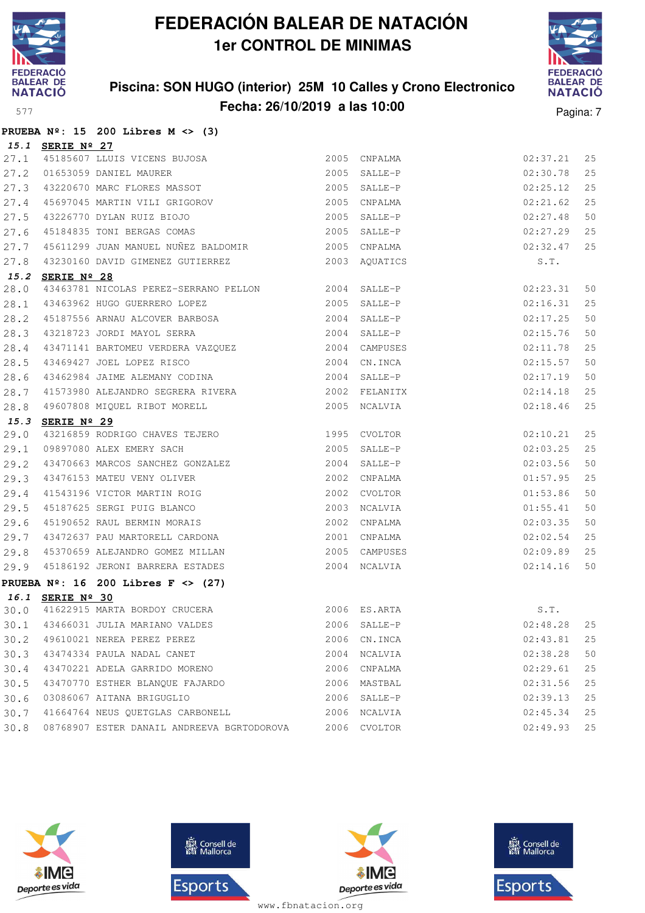

### **Piscina: SON HUGO (interior) 25M 10 Calles y Crono Electronico Fecha: 26/10/2019 a las 10:00** Pagina: 7



|      |                  | PRUEBA $N^{\circ}$ : 15 200 Libres M <> (3)                                                          |      |               |                    |    |
|------|------------------|------------------------------------------------------------------------------------------------------|------|---------------|--------------------|----|
|      | 15.1 SERIE Nº 27 |                                                                                                      |      |               |                    |    |
|      |                  |                                                                                                      |      | 2005 CNPALMA  | 02:37.21           | 25 |
|      |                  |                                                                                                      |      | 2005 SALLE-P  | 02:30.78           | 25 |
|      |                  | 27.1 45185607 LLUIS VICENS BUJOSA<br>27.2 01653059 DANIEL MAURER<br>27.3 43220670 MARC FLORES MASSOT |      | 2005 SALLE-P  | 02:25.12           | 25 |
| 27.4 |                  | 45697045 MARTIN VILI GRIGOROV<br>43226770 DYLAN RUIZ BIOJO<br>45184835 TONI BERGAS COMAS             |      | 2005 CNPALMA  | 02:21.62           | 25 |
| 27.5 |                  |                                                                                                      |      | 2005 SALLE-P  | 02:27.48           | 50 |
| 27.6 |                  |                                                                                                      |      | 2005 SALLE-P  | 02:27.29           | 25 |
| 27.7 |                  | 45611299 JUAN MANUEL NUÑEZ BALDOMIR 2005 CNPALMA                                                     |      |               | 02:32.47           | 25 |
| 27.8 |                  | 43230160 DAVID GIMENEZ GUTIERREZ 2003 AQUATICS                                                       |      |               | S.T.               |    |
|      | 15.2 SERIE Nº 28 |                                                                                                      |      |               |                    |    |
| 28.0 |                  | 43463781 NICOLAS PEREZ-SERRANO PELLON 2004 SALLE-P                                                   |      |               | 02:23.31           | 50 |
| 28.1 |                  | 43463962 HUGO GUERRERO LOPEZ 2005 SALLE-P                                                            |      |               | 02:16.31           | 25 |
| 28.2 |                  | 45187556 ARNAU ALCOVER BARBOSA 2004 SALLE-P                                                          |      |               | 02:17.25           | 50 |
| 28.3 |                  | 43218723 JORDI MAYOL SERRA                                                                           |      | 2004 SALLE-P  | 02:15.76           | 50 |
| 28.4 |                  |                                                                                                      |      |               | 02:11.78           | 25 |
| 28.5 |                  | 2004 CN.INCA<br>43469427 JOEL LOPEZ RISCO                                                            |      |               | 02:15.57           | 50 |
| 28.6 |                  | 43462984 JAIME ALEMANY CODINA 2004 SALLE-P                                                           |      |               | 02:17.19           | 50 |
| 28.7 |                  | 41573980 ALEJANDRO SEGRERA RIVERA                                                                    |      | 2002 FELANITX | 02:14.18           | 25 |
| 28.8 |                  | 49607808 MIQUEL RIBOT MORELL                                                                         |      | 2005 NCALVIA  | 02:18.46           | 25 |
| 15.3 | SERIE Nº 29      |                                                                                                      |      |               |                    |    |
| 29.0 |                  | 43216859 RODRIGO CHAVES TEJERO 1995 CVOLTOR                                                          |      |               | 02:10.21           | 25 |
| 29.1 |                  | $2005$ SALLE-P<br>09897080 ALEX EMERY SACH                                                           |      |               | 02:03.25           | 25 |
| 29.2 |                  | 43470663 MARCOS SANCHEZ GONZALEZ<br>43476153 MATEU VENY OLIVER                                       |      | 2004 SALLE-P  | 02:03.56           | 50 |
| 29.3 |                  |                                                                                                      |      | 2002 CNPALMA  | 01:57.95           | 25 |
| 29.4 |                  | 41543196 VICTOR MARTIN ROIG<br>45187625 SERGI PUIG BLANCO<br>45190652 RAUL BERMIN MORAIS             |      | 2002 CVOLTOR  | 01:53.86           | 50 |
| 29.5 |                  |                                                                                                      |      | 2003 NCALVIA  | 01:55.41           | 50 |
| 29.6 |                  |                                                                                                      |      | 2002 CNPALMA  | 02:03.35           | 50 |
| 29.7 |                  | 43472637 PAU MARTORELL CARDONA                                                                       |      | 2001 CNPALMA  | 02:02.54           | 25 |
| 29.8 |                  | 45370659 ALEJANDRO GOMEZ MILLAN                                                                      |      | 2005 CAMPUSES | 02:09.89           | 25 |
| 29.9 |                  | 45186192 JERONI BARRERA ESTADES                                                                      |      | 2004 NCALVIA  | 02:14.16           | 50 |
|      |                  | PRUEBA $N^2$ : 16 200 Libres F <> (27)                                                               |      |               |                    |    |
|      | 16.1 SERIE Nº 30 |                                                                                                      |      |               |                    |    |
| 30.0 |                  | 41622915 MARTA BORDOY CRUCERA                                                                        | 2006 | ES.ARTA       | $\texttt{S}$ . T . |    |
| 30.1 |                  | 43466031 JULIA MARIANO VALDES                                                                        | 2006 | SALLE-P       | 02:48.28           | 25 |
| 30.2 |                  | 49610021 NEREA PEREZ PEREZ                                                                           |      | 2006 CN. INCA | 02:43.81           | 25 |
| 30.3 |                  | 43474334 PAULA NADAL CANET                                                                           | 2004 | NCALVIA       | 02:38.28           | 50 |
| 30.4 |                  | 43470221 ADELA GARRIDO MORENO                                                                        | 2006 | CNPALMA       | 02:29.61           | 25 |
| 30.5 |                  | 43470770 ESTHER BLANQUE FAJARDO                                                                      |      | 2006 MASTBAL  | 02:31.56           | 25 |
| 30.6 |                  | 03086067 AITANA BRIGUGLIO                                                                            |      | 2006 SALLE-P  | 02:39.13           | 25 |
| 30.7 |                  | 41664764 NEUS QUETGLAS CARBONELL                                                                     | 2006 | NCALVIA       | 02:45.34           | 25 |
| 30.8 |                  | 08768907 ESTER DANAIL ANDREEVA BGRTODOROVA                                                           | 2006 | CVOLTOR       | 02:49.93           | 25 |







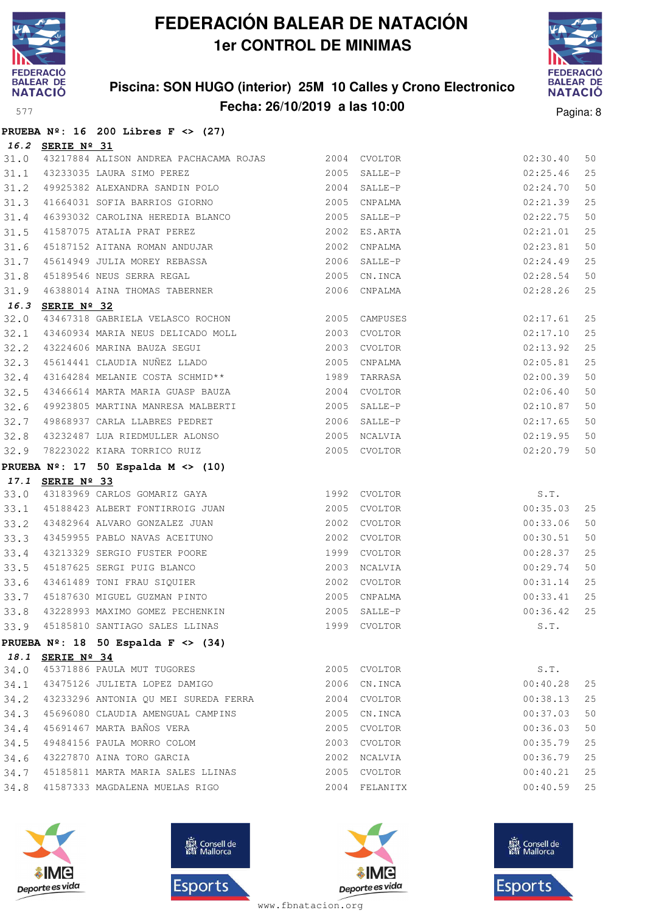

### **Piscina: SON HUGO (interior) 25M 10 Calles y Crono Electronico Fecha: 26/10/2019 a las 10:00** Pagina: 8



| $\sim$ |  |
|--------|--|
|        |  |

|      |                  | PRUEBA $N^{\circ}$ : 16 200 Libres F <> (27)                                            |              |               |               |    |
|------|------------------|-----------------------------------------------------------------------------------------|--------------|---------------|---------------|----|
|      | 16.2 SERIE Nº 31 |                                                                                         |              |               |               |    |
| 31.0 |                  | 43217884 ALISON ANDREA PACHACAMA ROJAS 2004 CVOLTOR                                     |              |               | 02:30.40      | 50 |
| 31.1 |                  | 43233035 LAURA SIMO PEREZ                                                               |              | 2005 SALLE-P  | 02:25.46      | 25 |
|      |                  | $31.1$ 43233035 LAURA SIMO PEREZ<br>$31.2$ 49925382 ALEXANDRA SANDIN POLO 2004 SALLE-P  |              |               | 02:24.70      | 50 |
| 31.3 |                  |                                                                                         |              |               | 02:21.39      | 25 |
| 31.4 |                  | 46393032 CAROLINA HEREDIA BLANCO 2005 SALLE-P                                           |              |               | 02:22.75      | 50 |
| 31.5 |                  |                                                                                         |              |               | 02:21.01      | 25 |
| 31.6 |                  |                                                                                         |              |               | 02:23.81      | 50 |
| 31.7 |                  | 45614949 JULIA MOREY REBASSA 2006 SALLE-P                                               |              |               | 02:24.49      | 25 |
| 31.8 |                  | 45189546 NEUS SERRA REGAL (2005 CN.INCA)<br>16388014 AINA THOMAS TABERNER (2006 CNPALMA |              |               | 02:28.54      | 50 |
| 31.9 |                  |                                                                                         |              |               | 02:28.26      | 25 |
|      | 16.3 SERIE Nº 32 |                                                                                         |              |               |               |    |
| 32.0 |                  | 43467318 GABRIELA VELASCO ROCHON 2005 CAMPUSES                                          |              |               | 02:17.61      | 25 |
| 32.1 |                  |                                                                                         |              |               | 02:17.10      | 25 |
| 32.2 |                  |                                                                                         |              |               | 02:13.92      | 25 |
| 32.3 |                  |                                                                                         |              |               | 02:05.81      | 25 |
| 32.4 |                  |                                                                                         |              |               | 02:00.39      | 50 |
| 32.5 |                  |                                                                                         |              |               | 02:06.40      | 50 |
| 32.6 |                  | 49923805 MARTINA MANRESA MALBERTI (2005 SALLE-P                                         |              |               | 02:10.87      | 50 |
| 32.7 |                  |                                                                                         |              |               | 02:17.65      | 50 |
| 32.8 |                  |                                                                                         |              |               | 02:19.95      | 50 |
| 32.9 |                  | 78223022 KIARA TORRICO RUIZ 2005 CVOLTOR                                                |              |               | 02:20.79      | 50 |
|      |                  | PRUEBA $N^{\circ}$ : 17 50 Espalda M <> (10)                                            |              |               |               |    |
|      | 17.1 SERIE Nº 33 |                                                                                         |              |               |               |    |
| 33.0 |                  | 43183969 CARLOS GOMARIZ GAYA 1992 CVOLTOR                                               |              |               | S.T.          |    |
| 33.1 |                  |                                                                                         |              |               | 00:35.03      | 25 |
| 33.2 |                  | 43482964 ALVARO GONZALEZ JUAN 2002 CVOLTOR                                              |              |               | 00:33.06      | 50 |
| 33.3 |                  |                                                                                         |              |               | 00:30.51      | 50 |
| 33.4 |                  |                                                                                         |              |               | 00:28.37      | 25 |
| 33.5 |                  | 45187625 SERGI PUIG BLANCO 2003 NCALVIA                                                 |              |               | 00:29.74      | 50 |
|      |                  | 33.6 43461489 TONI FRAU SIQUIER                                                         | 2002 CVOLTOR |               | 00:31.14      | 25 |
|      |                  | 33.7 45187630 MIGUEL GUZMAN PINTO                                                       |              | 2005 CNPALMA  | 00:33.41      | 25 |
|      |                  | 33.8 43228993 MAXIMO GOMEZ PECHENKIN 2005 SALLE-P                                       |              |               | $00:36.42$ 25 |    |
|      |                  | 33.9 45185810 SANTIAGO SALES LLINAS                                                     |              | 1999 CVOLTOR  | S.T.          |    |
|      |                  | PRUEBA $N^{\circ}$ : 18 50 Espalda F <> (34)                                            |              |               |               |    |
|      | 18.1 SERIE Nº 34 |                                                                                         |              |               |               |    |
| 34.0 |                  | 45371886 PAULA MUT TUGORES                                                              |              | 2005 CVOLTOR  | S.T.          |    |
| 34.1 |                  | 43475126 JULIETA LOPEZ DAMIGO                                                           |              | 2006 CN. INCA | 00:40.28      | 25 |
| 34.2 |                  | 43233296 ANTONIA OU MEI SUREDA FERRA                                                    |              | 2004 CVOLTOR  | 00:38.13      | 25 |
| 34.3 |                  | 45696080 CLAUDIA AMENGUAL CAMPINS                                                       |              | 2005 CN.INCA  | 00:37.03      | 50 |
| 34.4 |                  | 45691467 MARTA BAÑOS VERA                                                               |              | 2005 CVOLTOR  | 00:36.03      | 50 |
| 34.5 |                  | 49484156 PAULA MORRO COLOM                                                              |              | 2003 CVOLTOR  | 00:35.79      | 25 |
| 34.6 |                  | 43227870 AINA TORO GARCIA                                                               | 2002         | NCALVIA       | 00:36.79      | 25 |
| 34.7 |                  | 45185811 MARTA MARIA SALES LLINAS                                                       |              | 2005 CVOLTOR  | 00:40.21      | 25 |
| 34.8 |                  | 41587333 MAGDALENA MUELAS RIGO                                                          |              | 2004 FELANITX | 00:40.59      | 25 |







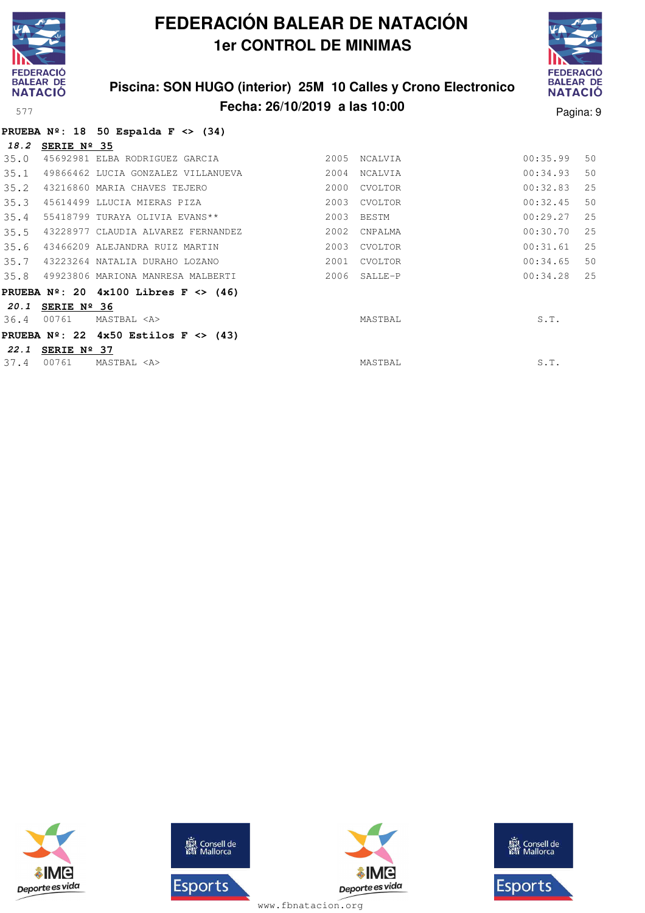

### **Piscina: SON HUGO (interior) 25M 10 Calles y Crono Electronico Fecha: 26/10/2019 a las 10:00** Pagina: 9



|  |  | PRUEBA $N^{\circ}$ : 18 50 Espalda F <> (34) |  |  |
|--|--|----------------------------------------------|--|--|
|  |  |                                              |  |  |

| 18.2 | SERIE Nº 35 |                                          |      |              |          |     |
|------|-------------|------------------------------------------|------|--------------|----------|-----|
| 35.0 |             | 45692981 ELBA RODRIGUEZ GARCIA           | 2005 | NCALVIA      | 00:35.99 | 50  |
| 35.1 |             | 49866462 LUCIA GONZALEZ VILLANUEVA       | 2004 | NCALVIA      | 00:34.93 | 50  |
| 35.2 |             | 43216860 MARIA CHAVES TEJERO             | 2000 | CVOLTOR      | 00:32.83 | 25  |
| 35.3 |             | 45614499 LLUCIA MIERAS PIZA              | 2003 | CVOLTOR      | 00:32.45 | 50  |
| 35.4 |             | 55418799 TURAYA OLIVIA EVANS**           | 2003 | BESTM        | 00:29.27 | 25  |
| 35.5 |             | 43228977 CLAUDIA ALVAREZ FERNANDEZ       | 2002 | CNPALMA      | 00:30.70 | 25  |
| 35.6 |             | 43466209 ALEJANDRA RUIZ MARTIN           | 2003 | CVOLTOR      | 00:31.61 | 2.5 |
| 35.7 |             | 43223264 NATALIA DURAHO LOZANO           | 2001 | CVOLTOR      | 00:34.65 | 50  |
| 35.8 |             | 49923806 MARIONA MANRESA MALBERTI        |      | 2006 SALLE-P | 00:34.28 | 2.5 |
|      |             | PRUEBA $N^2$ : 20 4x100 Libres F <> (46) |      |              |          |     |
| 20.1 | SERIE Nº 36 |                                          |      |              |          |     |
| 36.4 | 00761       | MASTBAL <a></a>                          |      | MASTBAL      | S.T.     |     |
|      |             | PRUEBA $N^2$ : 22 4x50 Estilos F <> (43) |      |              |          |     |
| 22.1 | SERIE Nº 37 |                                          |      |              |          |     |
| 37.4 | 00761       | MASTBAL <a></a>                          |      | MASTBAL      | S.T.     |     |
|      |             |                                          |      |              |          |     |





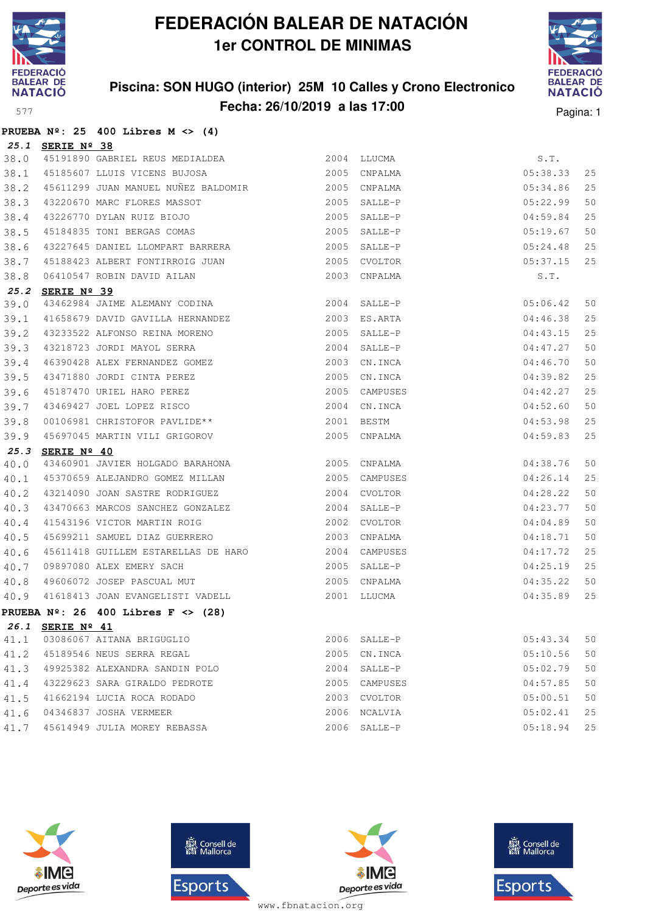

### **Piscina: SON HUGO (interior) 25M 10 Calles y Crono Electronico Fecha: 26/10/2019 a las 17:00** Pagina: 1



|      |                  | PRUEBA $N^2$ : 25 400 Libres M <> (4)                                                                                                              |      |               |          |    |
|------|------------------|----------------------------------------------------------------------------------------------------------------------------------------------------|------|---------------|----------|----|
|      | 25.1 SERIE Nº 38 |                                                                                                                                                    |      |               |          |    |
| 38.0 |                  |                                                                                                                                                    |      | 2004 LLUCMA   | S.T.     |    |
| 38.1 |                  | 45191890 GABRIEL REUS MEDIALDEA<br>45185607 LLUIS VICENS BUJOSA                                                                                    |      | 2005 CNPALMA  | 05:38.33 | 25 |
| 38.2 |                  | 45611299 JUAN MANUEL NUÑEZ BALDOMIR<br><br>2005 CNPALMA                                                                                            |      |               | 05:34.86 | 25 |
| 38.3 |                  |                                                                                                                                                    |      |               | 05:22.99 | 50 |
| 38.4 |                  |                                                                                                                                                    |      |               | 04:59.84 | 25 |
| 38.5 |                  | 43220670 MARC FLORES MASSOT 43226770 DYLAN RUIZ BIOJO<br>43226770 DYLAN RUIZ BIOJO 45184835 TONI BERGAS COMAS 45184835 2005                        |      |               | 05:19.67 | 50 |
| 38.6 |                  | 43227645 DANIEL LLOMPART BARRERA 2005                                                                                                              |      | SALLE-P       | 05:24.48 | 25 |
| 38.7 |                  | 45188423 ALBERT FONTIRROIG JUAN 2005                                                                                                               |      | CVOLTOR       | 05:37.15 | 25 |
| 38.8 |                  | 06410547 ROBIN DAVID AILAN<br><b>AIDI-</b> ::: -:                                                                                                  |      | 2003 CNPALMA  | S.T.     |    |
| 25.2 | SERIE Nº 39      |                                                                                                                                                    |      |               |          |    |
| 39.0 |                  | 43462984 JAIME ALEMANY CODINA 2004 SALLE-P                                                                                                         |      |               | 05:06.42 | 50 |
| 39.1 |                  | 41658679 DAVID GAVILLA HERNANDEZ 2003 ES.ARTA                                                                                                      |      |               | 04:46.38 | 25 |
| 39.2 |                  |                                                                                                                                                    |      |               | 04:43.15 | 25 |
| 39.3 |                  |                                                                                                                                                    |      |               | 04:47.27 | 50 |
| 39.4 |                  |                                                                                                                                                    |      |               | 04:46.70 | 50 |
| 39.5 |                  | 43471880 JORDI CINTA PEREZ                                                                                                                         | 2005 | CN.INCA       | 04:39.82 | 25 |
| 39.6 |                  | 43471880 JORDI CINTA PEREZ<br>45187470 URIEL HARO PEREZ<br>43469427 JOEL LOPEZ RISCO<br>00106981 CHRISTOFOR PAVLIDE**<br>45187470 URIEL HARO PEREZ |      | 2005 CAMPUSES | 04:42.27 | 25 |
| 39.7 |                  | 43469427 JOEL LOPEZ RISCO                                                                                                                          |      | 2004 CN.INCA  | 04:52.60 | 50 |
| 39.8 |                  |                                                                                                                                                    |      | 2001 BESTM    | 04:53.98 | 25 |
| 39.9 |                  | 45697045 MARTIN VILI GRIGOROV                                                                                                                      |      | 2005 CNPALMA  | 04:59.83 | 25 |
|      | 25.3 SERIE Nº 40 |                                                                                                                                                    |      |               |          |    |
| 40.0 |                  | 43460901 JAVIER HOLGADO BARAHONA 2005 CNPALMA                                                                                                      |      |               | 04:38.76 | 50 |
| 40.1 |                  | 45370659 ALEJANDRO GOMEZ MILLAN                                                                                                                    |      | 2005 CAMPUSES | 04:26.14 | 25 |
| 40.2 |                  |                                                                                                                                                    |      |               | 04:28.22 | 50 |
| 40.3 |                  | 43470663 MARCOS SANCHEZ GONZALEZ 2004                                                                                                              |      | SALLE-P       | 04:23.77 | 50 |
| 40.4 |                  | 41543196 VICTOR MARTIN ROIG<br>45699211 SAMUEL DIAZ GUERRERO                                                                                       |      | 2002 CVOLTOR  | 04:04.89 | 50 |
| 40.5 |                  |                                                                                                                                                    | 2003 | CNPALMA       | 04:18.71 | 50 |
| 40.6 |                  | 45611418 GUILLEM ESTARELLAS DE HARO                                                                                                                |      | 2004 CAMPUSES | 04:17.72 | 25 |
| 40.7 |                  |                                                                                                                                                    |      |               | 04:25.19 | 25 |
| 40.8 |                  |                                                                                                                                                    |      |               | 04:35.22 | 50 |
|      |                  | 40.9 41618413 JOAN EVANGELISTI VADELL                                                                                                              |      | 2001 LLUCMA   | 04:35.89 | 25 |
|      |                  | PRUEBA $N^{\circ}$ : 26 400 Libres F <> (28)                                                                                                       |      |               |          |    |
|      | 26.1 SERIE Nº 41 |                                                                                                                                                    |      |               |          |    |
| 41.1 |                  | 03086067 AITANA BRIGUGLIO                                                                                                                          |      | 2006 SALLE-P  | 05:43.34 | 50 |
| 41.2 |                  | 45189546 NEUS SERRA REGAL                                                                                                                          | 2005 | CN.INCA       | 05:10.56 | 50 |
| 41.3 |                  | 49925382 ALEXANDRA SANDIN POLO                                                                                                                     | 2004 | $SALLE-P$     | 05:02.79 | 50 |
| 41.4 |                  | 43229623 SARA GIRALDO PEDROTE                                                                                                                      | 2005 | CAMPUSES      | 04:57.85 | 50 |
| 41.5 |                  | 41662194 LUCIA ROCA RODADO                                                                                                                         | 2003 | CVOLTOR       | 05:00.51 | 50 |
| 41.6 |                  | 04346837 JOSHA VERMEER                                                                                                                             | 2006 | NCALVIA       | 05:02.41 | 25 |
| 41.7 |                  | 45614949 JULIA MOREY REBASSA                                                                                                                       |      | 2006 SALLE-P  | 05:18.94 | 25 |







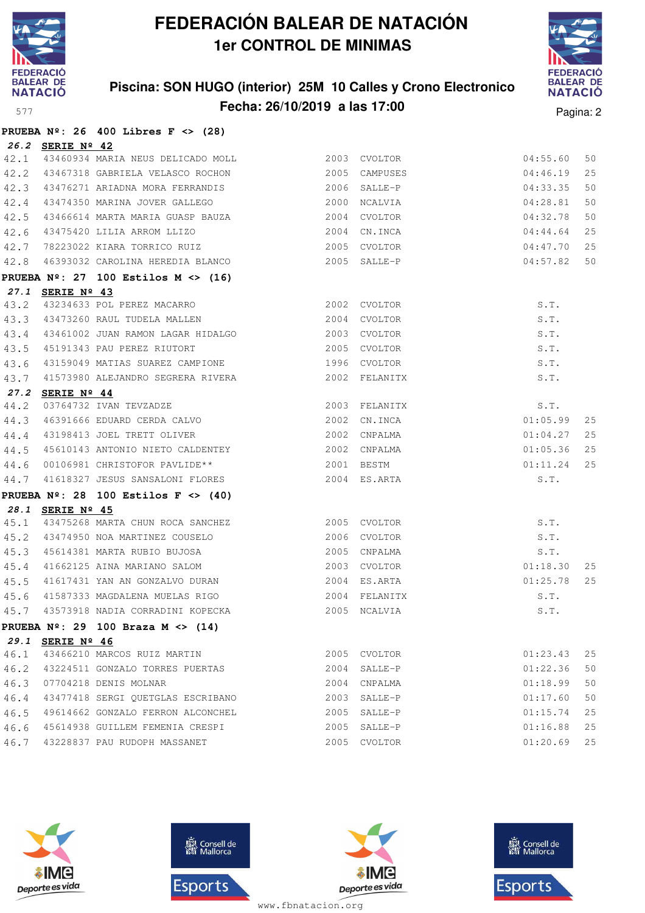

**PRUEBA Nº: 26 400 Libres F <> (28)**

## **FEDERACIÓN BALEAR DE NATACIÓN 1er CONTROL DE MINIMAS**

### **Piscina: SON HUGO (interior) 25M 10 Calles y Crono Electronico Fecha: 26/10/2019 a las 17:00** Pagina: 2



|      |                      | PROLDA Nº: 20 400 LIDIES F <> (20)                            |      |               |          |    |
|------|----------------------|---------------------------------------------------------------|------|---------------|----------|----|
|      | 26.2 SERIE Nº 42     |                                                               |      |               |          |    |
| 42.1 |                      |                                                               |      |               | 04:55.60 | 50 |
| 42.2 |                      | 43467318 GABRIELA VELASCO ROCHON                              |      | 2005 CAMPUSES | 04:46.19 | 25 |
| 42.3 |                      | 43476271 ARIADNA MORA FERRANDIS                               |      | 2006 SALLE-P  | 04:33.35 | 50 |
| 42.4 |                      | 43474350 MARINA JOVER GALLEGO                                 |      | 2000 NCALVIA  | 04:28.81 | 50 |
| 42.5 |                      | 43466614 MARTA MARIA GUASP BAUZA                              |      | 2004 CVOLTOR  | 04:32.78 | 50 |
| 42.6 |                      | 43475420 LILIA ARROM LLIZO                                    | 2004 | CN.INCA       | 04:44.64 | 25 |
| 42.7 |                      | 78223022 KIARA TORRICO RUIZ                                   |      | 2005 CVOLTOR  | 04:47.70 | 25 |
| 42.8 |                      | 46393032 CAROLINA HEREDIA BLANCO                              |      | 2005 SALLE-P  | 04:57.82 | 50 |
|      |                      | PRUEBA $N^{\circ}$ : 27 100 Estilos M <> (16)                 |      |               |          |    |
|      | 27.1 SERIE Nº 43     |                                                               |      |               |          |    |
| 43.2 |                      | 43234633 POL PEREZ MACARRO                                    |      | 2002 CVOLTOR  | S.T.     |    |
| 43.3 |                      | 43473260 RAUL TUDELA MALLEN                                   |      | 2004 CVOLTOR  | S.T.     |    |
| 43.4 |                      | 43461002 JUAN RAMON LAGAR HIDALGO                             |      | 2003 CVOLTOR  | S.T.     |    |
| 43.5 |                      | 45191343 PAU PEREZ RIUTORT                                    |      | 2005 CVOLTOR  | S.T.     |    |
| 43.6 |                      | 43159049 MATIAS SUAREZ CAMPIONE                               |      | 1996 CVOLTOR  | S.T.     |    |
| 43.7 |                      | 41573980 ALEJANDRO SEGRERA RIVERA                             |      | 2002 FELANITX | S.T.     |    |
| 27.2 | SERIE $N^{\circ}$ 44 |                                                               |      |               |          |    |
| 44.2 |                      | 03764732 IVAN TEVZADZE                                        |      | 2003 FELANITX | S.T.     |    |
| 44.3 |                      | 46391666 EDUARD CERDA CALVO                                   |      | 2002 CN.INCA  | 01:05.99 | 25 |
| 44.4 |                      | 43198413 JOEL TRETT OLIVER                                    |      | 2002 CNPALMA  | 01:04.27 | 25 |
| 44.5 |                      | 45610143 ANTONIO NIETO CALDENTEY                              |      | 2002 CNPALMA  | 01:05.36 | 25 |
| 44.6 |                      | 00106981 CHRISTOFOR PAVLIDE**                                 |      | 2001 BESTM    | 01:11.24 | 25 |
| 44.7 |                      | 41618327 JESUS SANSALONI FLORES                               |      | 2004 ES.ARTA  | S.T.     |    |
|      |                      | PRUEBA $N^{\circ}$ : 28 100 Estilos F <> (40)                 |      |               |          |    |
|      | 28.1 SERIE Nº 45     |                                                               |      |               |          |    |
| 45.1 |                      | 43475268 MARTA CHUN ROCA SANCHEZ 2005 CVOLTOR                 |      |               | S.T.     |    |
| 45.2 |                      | 43474950 NOA MARTINEZ COUSELO                                 |      | 2006 CVOLTOR  | S.T.     |    |
| 45.3 |                      | 45614381 MARTA RUBIO BUJOSA                                   |      | 2005 CNPALMA  | S.T.     |    |
| 45.4 |                      | 41662125 AINA MARIANO SALOM<br>41617431 YAN AN GONZALVO DURAN |      | 2003 CVOLTOR  | 01:18.30 | 25 |
| 45.5 |                      |                                                               |      | 2004 ES.ARTA  | 01:25.78 | 25 |
| 45.6 |                      | 41587333 MAGDALENA MUELAS RIGO                                |      | 2004 FELANITX | S.T.     |    |
| 45.7 |                      | 43573918 NADIA CORRADINI KOPECKA                              |      | 2005 NCALVIA  | S.T.     |    |
|      |                      | PRUEBA $N^{\circ}$ : 29 100 Braza M <> (14)                   |      |               |          |    |
|      | 29.1 SERIE Nº 46     |                                                               |      |               |          |    |
| 46.1 |                      | 43466210 MARCOS RUIZ MARTIN                                   |      | 2005 CVOLTOR  | 01:23.43 | 25 |
| 46.2 |                      | 43224511 GONZALO TORRES PUERTAS                               |      | 2004 SALLE-P  | 01:22.36 | 50 |
| 46.3 |                      | 07704218 DENIS MOLNAR                                         |      | 2004 CNPALMA  | 01:18.99 | 50 |
| 46.4 |                      | 43477418 SERGI QUETGLAS ESCRIBANO                             |      | 2003 SALLE-P  | 01:17.60 | 50 |
| 46.5 |                      | 49614662 GONZALO FERRON ALCONCHEL                             | 2005 | SALLE-P       | 01:15.74 | 25 |
| 46.6 |                      | 45614938 GUILLEM FEMENIA CRESPI                               | 2005 | SALLE-P       | 01:16.88 | 25 |
|      |                      | 46.7 43228837 PAU RUDOPH MASSANET                             |      | 2005 CVOLTOR  | 01:20.69 | 25 |







**感** Consell de Esports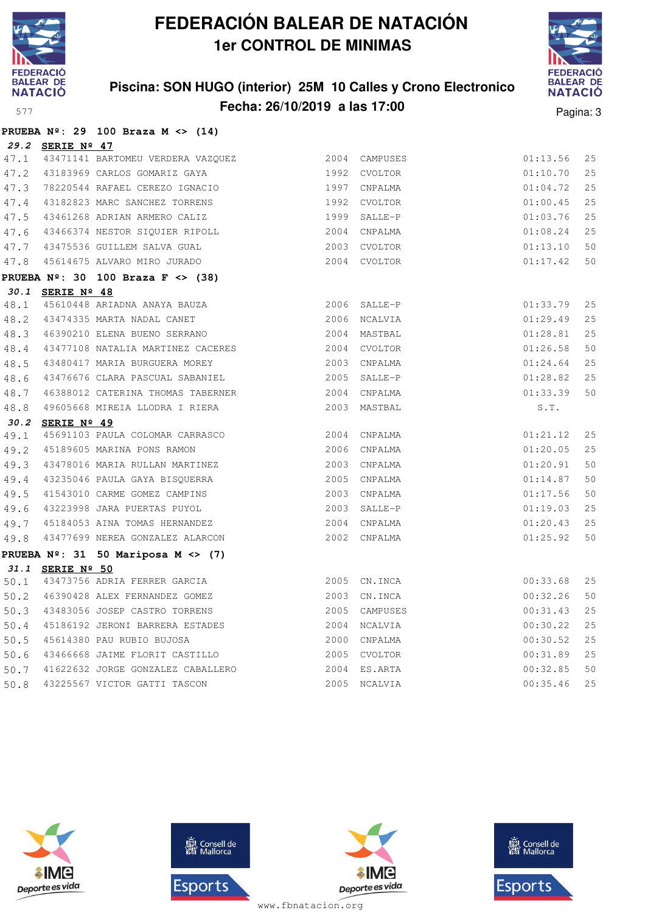

**PRUEBA Nº: 29 100 Braza M <> (14)**

## **FEDERACIÓN BALEAR DE NATACIÓN 1er CONTROL DE MINIMAS**

### **Piscina: SON HUGO (interior) 25M 10 Calles y Crono Electronico Fecha: 26/10/2019 a las 17:00** Pagina: 3



|      | 29.2 SERIE Nº 47 |                                                               |      |               |          |    |
|------|------------------|---------------------------------------------------------------|------|---------------|----------|----|
| 47.1 |                  | 43471141 BARTOMEU VERDERA VAZQUEZ                             |      | 2004 CAMPUSES | 01:13.56 | 25 |
|      |                  | 47.2 43183969 CARLOS GOMARIZ GAYA                             |      | 1992 CVOLTOR  | 01:10.70 | 25 |
| 47.3 |                  | 78220544 RAFAEL CEREZO IGNACIO                                |      | 1997 CNPALMA  | 01:04.72 | 25 |
|      |                  | 47.4 43182823 MARC SANCHEZ TORRENS                            |      | 1992 CVOLTOR  | 01:00.45 | 25 |
| 47.5 |                  | 43461268 ADRIAN ARMERO CALIZ                                  |      | 1999 SALLE-P  | 01:03.76 | 25 |
|      |                  | 47.6 43466374 NESTOR SIQUIER RIPOLL                           |      | 2004 CNPALMA  | 01:08.24 | 25 |
|      |                  | 47.7 43475536 GUILLEM SALVA GUAL                              |      | 2003 CVOLTOR  | 01:13.10 | 50 |
|      |                  | 47.8 45614675 ALVARO MIRO JURADO                              |      | 2004 CVOLTOR  | 01:17.42 | 50 |
|      |                  | PRUEBA $N^{\circ}$ : 30 100 Braza F <> (38)                   |      |               |          |    |
|      | 30.1 SERIE Nº 48 |                                                               |      |               |          |    |
|      |                  | 48.1 45610448 ARIADNA ANAYA BAUZA                             |      | 2006 SALLE-P  | 01:33.79 | 25 |
|      |                  | 48.2 43474335 MARTA NADAL CANET                               |      | 2006 NCALVIA  | 01:29.49 | 25 |
|      |                  | 48.3 46390210 ELENA BUENO SERRANO                             |      | 2004 MASTBAL  | 01:28.81 | 25 |
| 48.4 |                  | 43477108 NATALIA MARTINEZ CACERES                             |      | 2004 CVOLTOR  | 01:26.58 | 50 |
| 48.5 |                  | 43480417 MARIA BURGUERA MOREY                                 |      | 2003 CNPALMA  | 01:24.64 | 25 |
| 48.6 |                  | 43476676 CLARA PASCUAL SABANIEL                               |      | 2005 SALLE-P  | 01:28.82 | 25 |
| 48.7 |                  | 46388012 CATERINA THOMAS TABERNER                             |      | 2004 CNPALMA  | 01:33.39 | 50 |
| 48.8 |                  | 49605668 MIREIA LLODRA I RIERA                                | 2003 | MASTBAL       | S.T.     |    |
|      | 30.2 SERIE Nº 49 |                                                               |      |               |          |    |
| 49.1 |                  | 45691103 PAULA COLOMAR CARRASCO                               |      | 2004 CNPALMA  | 01:21.12 | 25 |
| 49.2 |                  | 45189605 MARINA PONS RAMON                                    |      | 2006 CNPALMA  | 01:20.05 | 25 |
| 49.3 |                  | 43478016 MARIA RULLAN MARTINEZ                                |      | 2003 CNPALMA  | 01:20.91 | 50 |
| 49.4 |                  | 43235046 PAULA GAYA BISQUERRA<br>41543010 CARME GOMEZ CAMPINS |      | 2005 CNPALMA  | 01:14.87 | 50 |
| 49.5 |                  | 41543010 CARME GOMEZ CAMPINS                                  |      | 2003 CNPALMA  | 01:17.56 | 50 |
| 49.6 |                  | 43223998 JARA PUERTAS PUYOL                                   |      | 2003 SALLE-P  | 01:19.03 | 25 |
|      |                  | 49.7 45184053 AINA TOMAS HERNANDEZ                            |      | 2004 CNPALMA  | 01:20.43 | 25 |
| 49.8 |                  | 43477699 NEREA GONZALEZ ALARCON                               |      | 2002 CNPALMA  | 01:25.92 | 50 |
|      |                  | PRUEBA $N^{\circ}$ : 31 50 Mariposa M <> (7)                  |      |               |          |    |
|      | 31.1 SERIE Nº 50 |                                                               |      |               |          |    |
| 50.1 |                  | 43473756 ADRIA FERRER GARCIA                                  |      | 2005 CN. INCA | 00:33.68 | 25 |
|      |                  | 50.2 46390428 ALEX FERNANDEZ GOMEZ                            |      | 2003 CN. INCA | 00:32.26 | 50 |
|      |                  | 50.3 43483056 JOSEP CASTRO TORRENS                            |      | 2005 CAMPUSES | 00:31.43 | 25 |
| 50.4 |                  | 45186192 JERONI BARRERA ESTADES                               |      | 2004 NCALVIA  | 00:30.22 | 25 |
| 50.5 |                  | 45614380 PAU RUBIO BUJOSA                                     |      | 2000 CNPALMA  | 00:30.52 | 25 |
| 50.6 |                  | 43466668 JAIME FLORIT CASTILLO                                |      | 2005 CVOLTOR  | 00:31.89 | 25 |
|      |                  | 50.7 41622632 JORGE GONZALEZ CABALLERO                        |      | 2004 ES.ARTA  | 00:32.85 | 50 |
| 50.8 |                  | 43225567 VICTOR GATTI TASCON                                  |      | 2005 NCALVIA  | 00:35.46 | 25 |







**感** Consell de Esports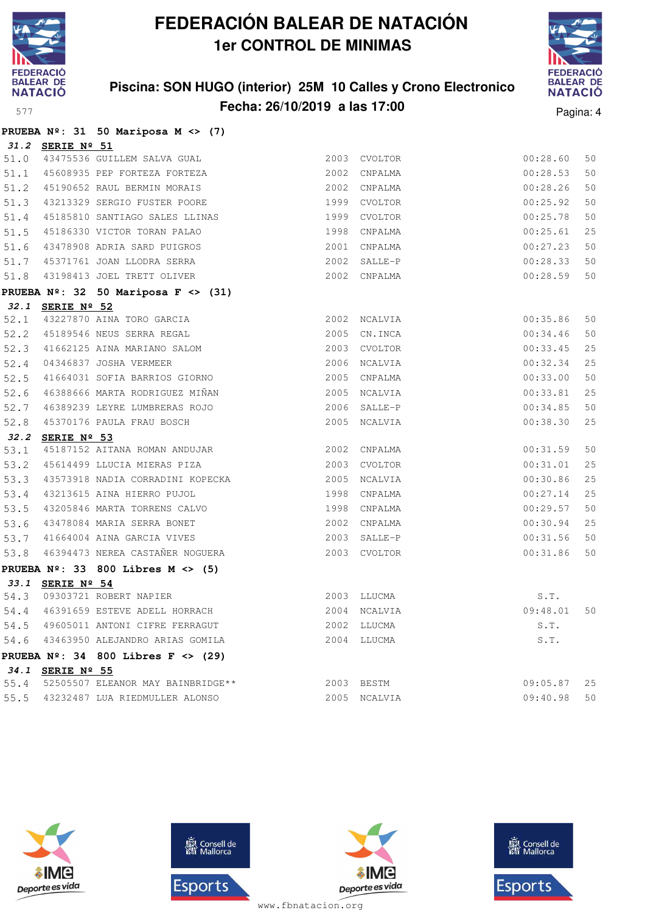

### **Piscina: SON HUGO (interior) 25M 10 Calles y Crono Electronico Fecha: 26/10/2019 a las 17:00** Pagina: 4



|  |  | PRUEBA $N^{\circ}$ : 31 50 Mariposa M <> (7) |  |  |
|--|--|----------------------------------------------|--|--|

|      | 31.2 SERIE Nº 51 |                                                                               |               |          |    |
|------|------------------|-------------------------------------------------------------------------------|---------------|----------|----|
| 51.0 |                  | 43475536 GUILLEM SALVA GUAL                                                   | 2003 CVOLTOR  | 00:28.60 | 50 |
|      |                  | 51.1 45608935 PEP FORTEZA FORTEZA                                             | 2002 CNPALMA  | 00:28.53 | 50 |
|      |                  | 51.2 45190652 RAUL BERMIN MORAIS                                              | 2002 CNPALMA  | 00:28.26 | 50 |
|      |                  | 51.3 43213329 SERGIO FUSTER POORE                                             | 1999 CVOLTOR  | 00:25.92 | 50 |
|      |                  | 51.4 45185810 SANTIAGO SALES LLINAS                                           | 1999 CVOLTOR  | 00:25.78 | 50 |
| 51.5 |                  | 45186330 VICTOR TORAN PALAO                                                   | 1998 CNPALMA  | 00:25.61 | 25 |
| 51.6 |                  | 43478908 ADRIA SARD PUIGROS                                                   | 2001 CNPALMA  | 00:27.23 | 50 |
|      |                  | 51.7 45371761 JOAN LLODRA SERRA                                               | 2002 SALLE-P  | 00:28.33 | 50 |
|      |                  | 51.8 43198413 JOEL TRETT OLIVER                                               | 2002 CNPALMA  | 00:28.59 | 50 |
|      |                  | PRUEBA $N^{\circ}$ : 32 50 Mariposa F <> (31)                                 |               |          |    |
|      | 32.1 SERIE Nº 52 |                                                                               |               |          |    |
| 52.1 |                  | 43227870 AINA TORO GARCIA                                                     | 2002 NCALVIA  | 00:35.86 | 50 |
| 52.2 |                  | 45189546 NEUS SERRA REGAL                                                     | 2005 CN. INCA | 00:34.46 | 50 |
| 52.3 |                  | 41662125 AINA MARIANO SALOM                                                   | 2003 CVOLTOR  | 00:33.45 | 25 |
| 52.4 |                  | 04346837 JOSHA VERMEER                                                        | 2006 NCALVIA  | 00:32.34 | 25 |
| 52.5 |                  | 41664031 SOFIA BARRIOS GIORNO                                                 | 2005 CNPALMA  | 00:33.00 | 50 |
|      |                  | 52.6 46388666 MARTA RODRIGUEZ MIÑAN                                           | 2005 NCALVIA  | 00:33.81 | 25 |
| 52.7 |                  | 46389239 LEYRE LUMBRERAS ROJO                                                 | 2006 SALLE-P  | 00:34.85 | 50 |
| 52.8 |                  | 45370176 PAULA FRAU BOSCH                                                     | 2005 NCALVIA  | 00:38.30 | 25 |
|      | 32.2 SERIE Nº 53 |                                                                               |               |          |    |
| 53.1 |                  | 45187152 AITANA ROMAN ANDUJAR                                                 | 2002 CNPALMA  | 00:31.59 | 50 |
| 53.2 |                  | 45614499 LLUCIA MIERAS PIZA                                                   | 2003 CVOLTOR  | 00:31.01 | 25 |
|      |                  | 53.3 43573918 NADIA CORRADINI KOPECKA<br>53.4 43213615 AINA HIERRO PUJOL      | 2005 NCALVIA  | 00:30.86 | 25 |
|      |                  | 53.4 43213615 AINA HIERRO PUJOL                                               | 1998 CNPALMA  | 00:27.14 | 25 |
|      |                  | 53.5 43205846 MARTA TORRENS CALVO                                             | 1998 CNPALMA  | 00:29.57 | 50 |
|      |                  | 53.6 43478084 MARIA SERRA BONET                                               | 2002 CNPALMA  | 00:30.94 | 25 |
|      |                  | 53.7 41664004 AINA GARCIA VIVES                                               | 2003 SALLE-P  | 00:31.56 | 50 |
|      |                  | 53.8 46394473 NEREA CASTAÑER NOGUERA                                          | 2003 CVOLTOR  | 00:31.86 | 50 |
|      |                  | PRUEBA $N^{\circ}$ : 33 800 Libres M <> (5)                                   |               |          |    |
|      | 33.1 SERIE Nº 54 |                                                                               |               |          |    |
|      |                  | 54.3 09303721 ROBERT NAPIER                                                   | 2003 LLUCMA   | S.T.     |    |
|      |                  | 54.4 46391659 ESTEVE ADELL HORRACH                                            | 2004 NCALVIA  | 09:48.01 | 50 |
|      |                  | 54.5 49605011 ANTONI CIFRE FERRAGUT                                           | 2002 LLUCMA   | S.T.     |    |
|      |                  | 54.6 43463950 ALEJANDRO ARIAS GOMILA                                          | 2004 LLUCMA   | S.T.     |    |
|      |                  | PRUEBA $N^2$ : 34 800 Libres F <> (29)                                        |               |          |    |
|      | 34.1 SERIE Nº 55 |                                                                               |               |          |    |
|      |                  | 55.4 52505507 ELEANOR MAY BAINBRIDGE**<br>55.5 43232487 LUA RIEDMULLER ALONSO | 2003 BESTM    | 09:05.87 | 25 |
|      |                  |                                                                               | 2005 NCALVIA  | 09:40.98 | 50 |







**感** Consell de Esports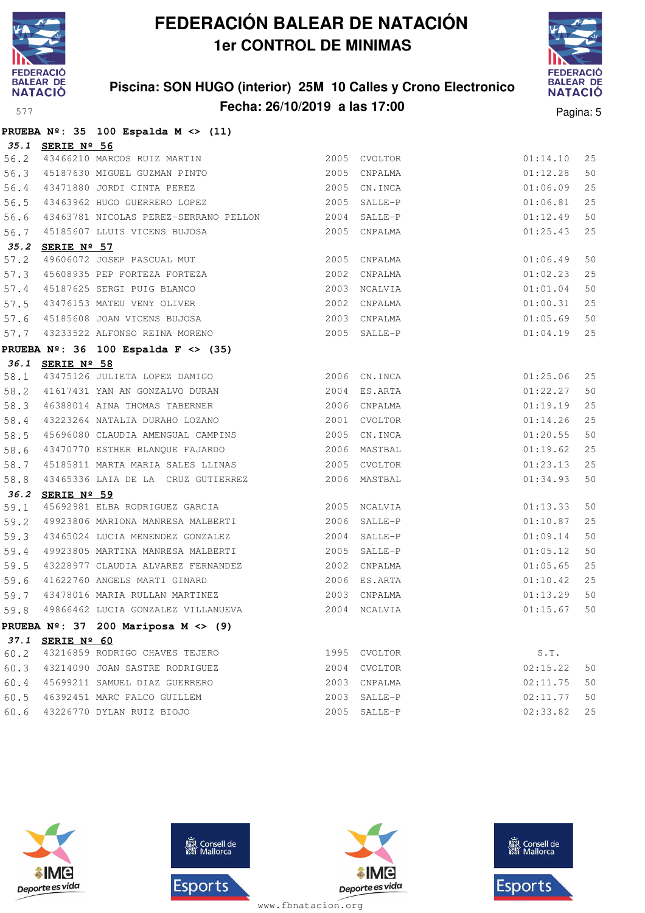

### **Piscina: SON HUGO (interior) 25M 10 Calles y Crono Electronico Fecha: 26/10/2019 a las 17:00** Pagina: 5



|      |                  | PRUEBA $N^{\circ}$ : 35 100 Espalda M <> (11)                                                            |      |              |             |    |
|------|------------------|----------------------------------------------------------------------------------------------------------|------|--------------|-------------|----|
|      | 35.1 SERIE Nº 56 |                                                                                                          |      |              |             |    |
|      |                  |                                                                                                          |      | 2005 CVOLTOR | 01:14.10    | 25 |
|      |                  | 56.2 43466210 MARCOS RUIZ MARTIN<br>56.3 45187630 MIGUEL GUZMAN PINTO<br>56.4 43471880 JORDI CINTA PEREZ |      | 2005 CNPALMA | 01:12.28    | 50 |
|      |                  |                                                                                                          |      | 2005 CN.INCA | 01:06.09    | 25 |
|      |                  | 56.5 43463962 HUGO GUERRERO LOPEZ 2005 SALLE-P                                                           |      |              | 01:06.81    | 25 |
|      |                  | 56.6 43463781 NICOLAS PEREZ-SERRANO PELLON 2004 SALLE-P                                                  |      |              | 01:12.49    | 50 |
|      |                  | 56.7 45185607 LLUIS VICENS BUJOSA                                                                        |      | 2005 CNPALMA | 01:25.43    | 25 |
|      | 35.2 SERIE Nº 57 |                                                                                                          |      |              |             |    |
| 57.2 |                  | 49606072 JOSEP PASCUAL MUT                                                                               |      | 2005 CNPALMA | 01:06.49    | 50 |
|      |                  | 57.3 45608935 PEP FORTEZA FORTEZA                                                                        | 2002 | CNPALMA      | 01:02.23    | 25 |
|      |                  |                                                                                                          |      |              | 01:01.04    | 50 |
|      |                  |                                                                                                          |      |              | 01:00.31    | 25 |
|      |                  |                                                                                                          |      |              | 01:05.69    | 50 |
|      |                  | 57.7 43233522 ALFONSO REINA MORENO                                                                       |      | 2005 SALLE-P | 01:04.19    | 25 |
|      |                  | PRUEBA $N^{\circ}$ : 36 100 Espalda F <> (35)                                                            |      |              |             |    |
|      | 36.1 SERIE Nº 58 |                                                                                                          |      |              |             |    |
|      |                  | 58.1 43475126 JULIETA LOPEZ DAMIGO 2006 CN.INCA                                                          |      |              | 01:25.06    | 25 |
|      |                  | 58.2 41617431 YAN AN GONZALVO DURAN 2004 ES.ARTA                                                         |      |              | 01:22.27    | 50 |
|      |                  | 58.3 46388014 AINA THOMAS TABERNER                                                                       |      | 2006 CNPALMA | 01:19.19    | 25 |
|      |                  | 58.4 43223264 NATALIA DURAHO LOZANO                                                                      |      | 2001 CVOLTOR | 01:14.26    | 25 |
| 58.5 |                  | 45696080 CLAUDIA AMENGUAL CAMPINS                                                                        |      | 2005 CN.INCA | 01:20.55    | 50 |
| 58.6 |                  | 43470770 ESTHER BLANQUE FAJARDO                                                                          |      | 2006 MASTBAL | 01:19.62    | 25 |
| 58.7 |                  | 45185811 MARTA MARIA SALES LLINAS 2005 CVOLTOR                                                           |      |              | 01:23.13    | 25 |
| 58.8 |                  | 43465336 LAIA DE LA CRUZ GUTIERREZ                                                                       |      | 2006 MASTBAL | 01:34.93    | 50 |
|      | 36.2 SERIE Nº 59 |                                                                                                          |      |              |             |    |
| 59.1 |                  | 45692981 ELBA RODRIGUEZ GARCIA 67 18 18 18 2005                                                          |      | NCALVIA      | 01:13.33    | 50 |
| 59.2 |                  | 49923806 MARIONA MANRESA MALBERTI 2006 SALLE-P                                                           |      |              | 01:10.87    | 25 |
| 59.3 |                  | 43465024 LUCIA MENENDEZ GONZALEZ                                                                         |      | 2004 SALLE-P | 01:09.14    | 50 |
| 59.4 |                  | 49923805 MARTINA MANRESA MALBERTI                                                                        |      | 2005 SALLE-P | 01:05.12    | 50 |
| 59.5 |                  | 43228977 CLAUDIA ALVAREZ FERNANDEZ                                                                       |      | 2002 CNPALMA | 01:05.65    | 25 |
| 59.6 |                  | 41622760 ANGELS MARTI GINARD                                                                             |      | 2006 ES.ARTA | 01:10.42    | 25 |
| 59.7 |                  | 43478016 MARIA RULLAN MARTINEZ<br>10000100                                                               |      | 2003 CNPALMA | 01:13.29    | 50 |
| 59.8 |                  | 49866462 LUCIA GONZALEZ VILLANUEVA                                                                       | 2004 | NCALVIA      | 01:15.67    | 50 |
|      |                  | PRUEBA $N^{\circ}$ : 37 200 Mariposa M <> (9)                                                            |      |              |             |    |
|      | 37.1 SERIE Nº 60 |                                                                                                          |      |              |             |    |
|      |                  | 60.2 43216859 RODRIGO CHAVES TEJERO                                                                      |      | 1995 CVOLTOR | S.T.        |    |
|      |                  | 60.3 43214090 JOAN SASTRE RODRIGUEZ                                                                      |      | 2004 CVOLTOR | 02:15.22    | 50 |
|      |                  | 60.4 45699211 SAMUEL DIAZ GUERRERO                                                                       |      | 2003 CNPALMA | 02:11.75    | 50 |
|      |                  | 60.5 46392451 MARC FALCO GUILLEM                                                                         |      | 2003 SALLE-P | 02:11.77    | 50 |
|      |                  | 60 6 43226770 DYLAN RUTZ BIOJO                                                                           |      | 2005 SALLE-P | 02:33.82 25 |    |







**感** Consell de Esports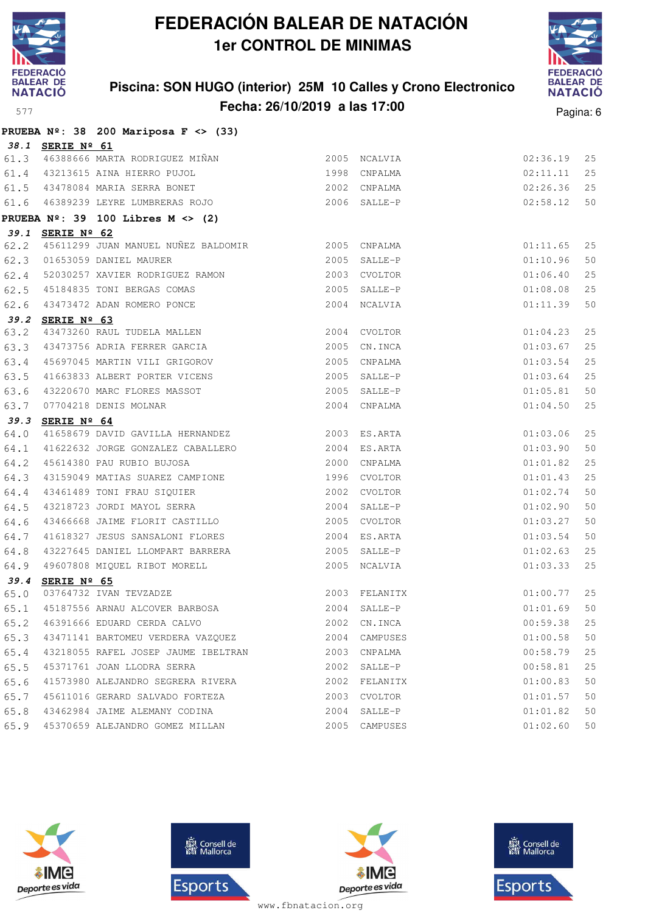

### **Piscina: SON HUGO (interior) 25M 10 Calles y Crono Electronico Fecha: 26/10/2019 a las 17:00** Pagina: 6



|      |                  | PRUEBA $N^{\circ}$ : 38 200 Mariposa F <> (33)                                                             |      |               |          |    |
|------|------------------|------------------------------------------------------------------------------------------------------------|------|---------------|----------|----|
|      | 38.1 SERIE Nº 61 |                                                                                                            |      |               |          |    |
|      |                  | 61.3 46388666 MARTA RODRIGUEZ MIÑAN                                                                        |      | 2005 NCALVIA  | 02:36.19 | 25 |
|      |                  | 1998 CNPALMA<br>61.4 43213615 AINA HIERRO PUJOL                                                            |      |               | 02:11.11 | 25 |
|      |                  | 2002 CNPALMA<br>61.5 43478084 MARIA SERRA BONET                                                            |      |               | 02:26.36 | 25 |
|      |                  | 61.6 46389239 LEYRE LUMBRERAS ROJO 2006 SALLE-P                                                            |      |               | 02:58.12 | 50 |
|      |                  | PRUEBA $N^{\circ}$ : 39 100 Libres M <> (2)                                                                |      |               |          |    |
|      | 39.1 SERIE Nº 62 |                                                                                                            |      |               |          |    |
| 62.2 |                  | 45611299 JUAN MANUEL NUÑEZ BALDOMIR 2005 CNPALMA                                                           |      |               | 01:11.65 | 25 |
|      |                  | 2005 SALLE-P<br>62.3 01653059 DANIEL MAURER                                                                |      |               | 01:10.96 | 50 |
|      |                  |                                                                                                            |      | 2003 CVOLTOR  | 01:06.40 | 25 |
|      |                  | 62.4 52030257 XAVIER RODRIGUEZ RAMON<br>62.5 45184835 TONI BERGAS COMAS<br>62.6 43473472 ADAN ROMERO PONCE |      | 2005 SALLE-P  | 01:08.08 | 25 |
|      |                  |                                                                                                            |      | 2004 NCALVIA  | 01:11.39 | 50 |
|      | 39.2 SERIE Nº 63 |                                                                                                            |      |               |          |    |
|      |                  | 63.2 43473260 RAUL TUDELA MALLEN<br>63.3 43473756 ADRIA FERRER GARCIA                                      |      | 2004 CVOLTOR  | 01:04.23 | 25 |
|      |                  |                                                                                                            |      | 2005 CN.INCA  | 01:03.67 | 25 |
| 63.4 |                  | 45697045 MARTIN VILI GRIGOROV                                                                              |      | 2005 CNPALMA  | 01:03.54 | 25 |
| 63.5 |                  | 41663833 ALBERT PORTER VICENS                                                                              |      | 2005 SALLE-P  | 01:03.64 | 25 |
| 63.6 |                  | 43220670 MARC FLORES MASSOT<br>07704218 DENIS MOLNAR                                                       |      | 2005 SALLE-P  | 01:05.81 | 50 |
| 63.7 |                  |                                                                                                            |      | 2004 CNPALMA  | 01:04.50 | 25 |
|      | 39.3 SERIE Nº 64 |                                                                                                            |      |               |          |    |
| 64.0 |                  | 41658679 DAVID GAVILLA HERNANDEZ 2003 ES.ARTA                                                              |      |               | 01:03.06 | 25 |
| 64.1 |                  |                                                                                                            |      |               | 01:03.90 | 50 |
| 64.2 |                  | 45614380 PAU RUBIO BUJOSA<br>43159049 MATIAS SUAREZ CAMPIONE                                               |      | 2000 CNPALMA  | 01:01.82 | 25 |
| 64.3 |                  |                                                                                                            |      | 1996 CVOLTOR  | 01:01.43 | 25 |
| 64.4 |                  | 43461489 TONI FRAU SIQUIER                                                                                 | 2002 | CVOLTOR       | 01:02.74 | 50 |
| 64.5 |                  | 43218723 JORDI MAYOL SERRA                                                                                 | 2004 | SALLE-P       | 01:02.90 | 50 |
| 64.6 |                  | 43466668 JAIME FLORIT CASTILLO                                                                             |      | 2005 CVOLTOR  | 01:03.27 | 50 |
| 64.7 |                  | 41618327 JESUS SANSALONI FLORES                                                                            |      | 2004 ES.ARTA  | 01:03.54 | 50 |
| 64.8 |                  | 43227645 DANIEL LLOMPART BARRERA                                                                           |      | 2005 SALLE-P  | 01:02.63 | 25 |
|      |                  | 64.9 49607808 MIQUEL RIBOT MORELL                                                                          |      | 2005 NCALVIA  | 01:03.33 | 25 |
|      | 39.4 SERIE Nº 65 |                                                                                                            |      |               |          |    |
|      |                  | 65.0 03764732 IVAN TEVZADZE<br>65.1 45187556 ARNAU ALCOVER BARBOSA                                         |      | 2003 FELANITX | 01:00.77 | 25 |
|      |                  |                                                                                                            |      | 2004 SALLE-P  | 01:01.69 | 50 |
| 65.2 |                  | 46391666 EDUARD CERDA CALVO                                                                                | 2002 | CN.INCA       | 00:59.38 | 25 |
| 65.3 |                  | 43471141 BARTOMEU VERDERA VAZQUEZ                                                                          | 2004 | CAMPUSES      | 01:00.58 | 50 |
| 65.4 |                  | 43218055 RAFEL JOSEP JAUME IBELTRAN                                                                        |      | 2003 CNPALMA  | 00:58.79 | 25 |
| 65.5 |                  | 45371761 JOAN LLODRA SERRA                                                                                 | 2002 | SALLE-P       | 00:58.81 | 25 |
| 65.6 |                  | 41573980 ALEJANDRO SEGRERA RIVERA                                                                          | 2002 | FELANITX      | 01:00.83 | 50 |
| 65.7 |                  | 45611016 GERARD SALVADO FORTEZA                                                                            | 2003 | CVOLTOR       | 01:01.57 | 50 |
| 65.8 |                  | 43462984 JAIME ALEMANY CODINA                                                                              | 2004 | SALLE-P       | 01:01.82 | 50 |
|      |                  | 65.9 45370659 ALEJANDRO GOMEZ MILLAN                                                                       | 2005 | CAMPUSES      | 01:02.60 | 50 |







**感** Consell de Esports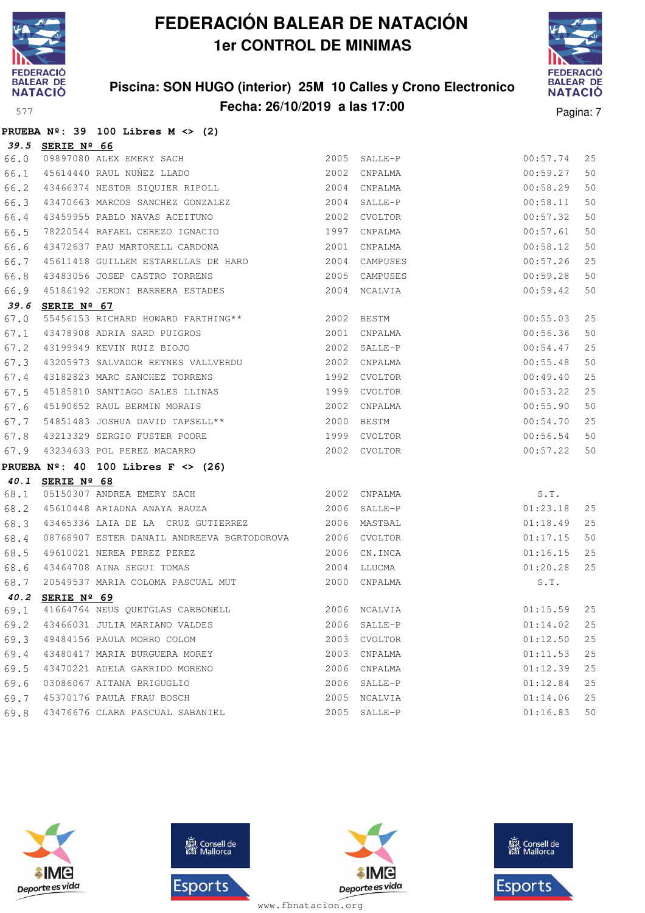

### **Piscina: SON HUGO (interior) 25M 10 Calles y Crono Electronico Fecha: 26/10/2019 a las 17:00** Pagina: 7



|  |  | PRUEBA $N^{\circ}$ : 39 100 Libres M <> (2) |  |  |
|--|--|---------------------------------------------|--|--|
|  |  |                                             |  |  |

|      | 39.5 SERIE Nº 66 |                                                                                                                  |              |          |    |
|------|------------------|------------------------------------------------------------------------------------------------------------------|--------------|----------|----|
| 66.0 |                  | SERIE Nº 66<br>09897080 ALEX EMERY SACH<br>45614440 RAUL NUÑEZ LLADO                                             | 2005 SALLE-P | 00:57.74 | 25 |
| 66.1 |                  |                                                                                                                  | 2002 CNPALMA | 00:59.27 | 50 |
| 66.2 |                  | 43466374 NESTOR SIQUIER RIPOLL 2004 CNPALMA                                                                      |              | 00:58.29 | 50 |
|      |                  | 66.3 43470663 MARCOS SANCHEZ GONZALEZ 2004 SALLE-P                                                               |              | 00:58.11 | 50 |
| 66.4 |                  | 43459955 PABLO NAVAS ACEITUNO<br>78220544 PAEAEI GERTIC TILL                                                     | 2002 CVOLTOR | 00:57.32 | 50 |
| 66.5 |                  | 78220544 RAFAEL CEREZO IGNACIO 1997                                                                              | CNPALMA      | 00:57.61 | 50 |
| 66.6 |                  | 43472637 PAU MARTORELL CARDONA 2001                                                                              | CNPALMA      | 00:58.12 | 50 |
| 66.7 |                  | 45611418 GUILLEM ESTARELLAS DE HARO 2004 CAMPUSES                                                                |              | 00:57.26 | 25 |
| 66.8 |                  | 43483056 JOSEP CASTRO TORRENS 2005 CAMPUSES                                                                      |              | 00:59.28 | 50 |
| 66.9 |                  | 45186192 JERONI BARRERA ESTADES 6 2004 NCALVIA                                                                   |              | 00:59.42 | 50 |
|      | 39.6 SERIE Nº 67 |                                                                                                                  |              |          |    |
| 67.0 |                  | 55456153 RICHARD HOWARD FARTHING** 2002 BESTM                                                                    |              | 00:55.03 | 25 |
| 67.1 |                  |                                                                                                                  |              | 00:56.36 | 50 |
| 67.2 |                  |                                                                                                                  |              | 00:54.47 | 25 |
| 67.3 |                  | 43205973 SALVADOR REYNES VALLVERDU<br>2002 CNPALMA                                                               |              | 00:55.48 | 50 |
| 67.4 |                  | 43182823 MARC SANCHEZ TORRENS 1992 CVOLTOR                                                                       |              | 00:49.40 | 25 |
| 67.5 |                  |                                                                                                                  |              | 00:53.22 | 25 |
| 67.6 |                  |                                                                                                                  |              | 00:55.90 | 50 |
| 67.7 |                  | 54851483 JOSHUA DAVID TAPSELL** 2000 BESTM                                                                       |              | 00:54.70 | 25 |
|      |                  | % 67.8 43213329 SERGIO FUSTER POORE 1999 CVOLTOR<br>% 43234633 POL PEREZ MACARRO 67.9 43234633 POL PEREZ MACARRO |              | 00:56.54 | 50 |
|      |                  |                                                                                                                  |              | 00:57.22 | 50 |
|      |                  | PRUEBA $N^{\circ}$ : 40 100 Libres F <> (26)                                                                     |              |          |    |
|      | 40.1 SERIE Nº 68 |                                                                                                                  |              |          |    |
| 68.1 |                  | 05150307 ANDREA EMERY SACH CONTROLLER 2002 CNPALMA                                                               |              | S.T.     |    |
|      |                  | 68.2 45610448 ARIADNA ANAYA BAUZA (2006 SALLE-P                                                                  |              | 01:23.18 | 25 |
| 68.3 |                  | 43465336 LAIA DE LA CRUZ GUTIERREZ                                                                               | 2006 MASTBAL | 01:18.49 | 25 |
| 68.4 |                  | 08768907 ESTER DANAIL ANDREEVA BGRTODOROVA 2006 CVOLTOR                                                          |              | 01:17.15 | 50 |
| 68.5 |                  | 49610021 NEREA PEREZ PEREZ (2006 CN.INCA 23464708 AINA SEGUI TOMAS (2004 LLUCMA                                  |              | 01:16.15 | 25 |
| 68.6 |                  |                                                                                                                  |              | 01:20.28 | 25 |
| 68.7 |                  |                                                                                                                  |              | S.T.     |    |
|      | 40.2 SERIE Nº 69 |                                                                                                                  |              |          |    |
| 69.1 |                  | 41664764 NEUS QUETGLAS CARBONELL 2006 NCALVIA                                                                    | 01:15.59     |          | 25 |
|      |                  | 69.2 43466031 JULIA MARIANO VALDES 2006 SALLE-P 2006 SALLE-P 25                                                  |              |          |    |
|      |                  | 69.3 49484156 PAULA MORRO COLOM                                                                                  | 2003 CVOLTOR | 01:12.50 | 25 |
|      |                  | 69.4 43480417 MARIA BURGUERA MOREY                                                                               | 2003 CNPALMA | 01:11.53 | 25 |
|      |                  | 69.5 43470221 ADELA GARRIDO MORENO                                                                               | 2006 CNPALMA | 01:12.39 | 25 |
| 69.6 |                  | 03086067 AITANA BRIGUGLIO                                                                                        | 2006 SALLE-P | 01:12.84 | 25 |
|      |                  | 69.7 45370176 PAULA FRAU BOSCH                                                                                   | 2005 NCALVIA | 01:14.06 | 25 |
|      |                  |                                                                                                                  |              |          |    |







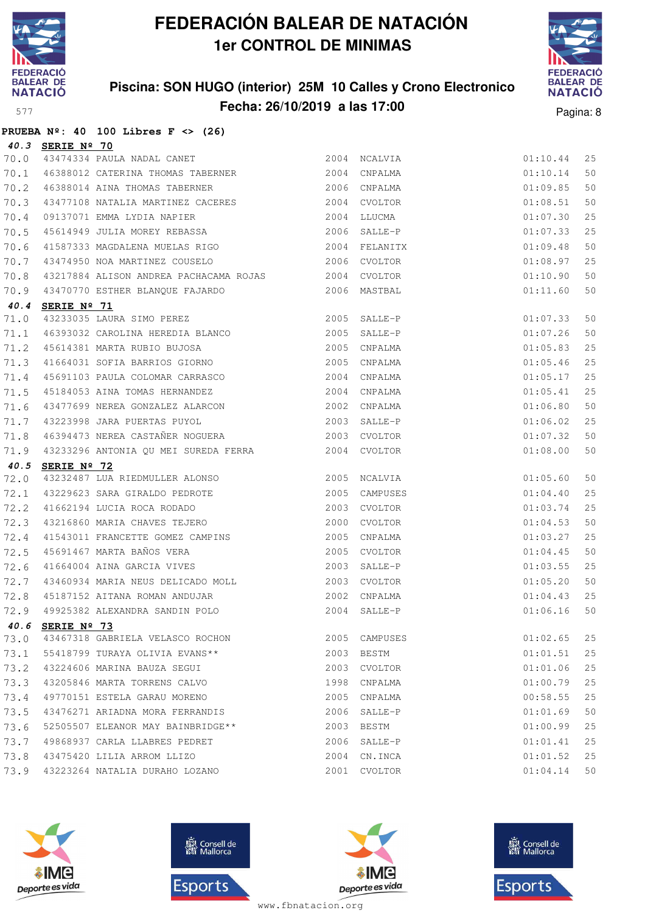

### **Piscina: SON HUGO (interior) 25M 10 Calles y Crono Electronico Fecha: 26/10/2019 a las 17:00** Pagina: 8



|  |  | PRUEBA $N^2$ : 40 100 Libres F <> (26) |  |  |
|--|--|----------------------------------------|--|--|

|      | 40.3 SERIE Nº 70                                                                                                                                                                                                     |      |               |          |    |
|------|----------------------------------------------------------------------------------------------------------------------------------------------------------------------------------------------------------------------|------|---------------|----------|----|
| 70.0 | SERIE Nº 70<br>43474334 PAULA NADAL CANET                                                                                                                                                                            |      | 2004 NCALVIA  | 01:10.44 | 25 |
| 70.1 | 46388012 CATERINA THOMAS TABERNER                                                                                                                                                                                    |      | 2004 CNPALMA  | 01:10.14 | 50 |
| 70.2 | 46388014 AINA THOMAS TABERNER                                                                                                                                                                                        |      | 2006 CNPALMA  | 01:09.85 | 50 |
| 70.3 |                                                                                                                                                                                                                      |      | 2004 CVOLTOR  | 01:08.51 | 50 |
| 70.4 |                                                                                                                                                                                                                      |      | 2004 LLUCMA   | 01:07.30 | 25 |
| 70.5 | 43477108 NATALIA MARTINEZ CACERES<br>09137071 EMMA LYDIA NAPIER<br>45614949 JULIA MOREY REBASSA                                                                                                                      |      | 2006 SALLE-P  | 01:07.33 | 25 |
| 70.6 | 41587333 MAGDALENA MUELAS RIGO                                                                                                                                                                                       |      | 2004 FELANITX | 01:09.48 | 50 |
| 70.7 | 43474950 NOA MARTINEZ COUSELO                                                                                                                                                                                        |      | 2006 CVOLTOR  | 01:08.97 | 25 |
| 70.8 | 43217884 ALISON ANDREA PACHACAMA ROJAS 2004 CVOLTOR                                                                                                                                                                  |      |               | 01:10.90 | 50 |
| 70.9 | 43470770 ESTHER BLANQUE FAJARDO                                                                                                                                                                                      |      | 2006 MASTBAL  | 01:11.60 | 50 |
|      | 40.4 SERIE Nº 71                                                                                                                                                                                                     |      |               |          |    |
| 71.0 |                                                                                                                                                                                                                      |      |               | 01:07.33 | 50 |
| 71.1 |                                                                                                                                                                                                                      |      |               | 01:07.26 | 50 |
| 71.2 |                                                                                                                                                                                                                      |      |               | 01:05.83 | 25 |
| 71.3 | <b>SERIE Nº 71</b><br>43233035 LAURA SIMO PEREZ<br>46393032 CAROLINA HEREDIA BLANCO<br>45614381 MARTA RUBIO BUJOSA<br>41664031 SOFIA BARRIOS GIORNO<br>2005 CNPALMA<br>41664031 SOFIA BARRIOS GIORNO<br>2005 CNPALMA |      |               | 01:05.46 | 25 |
| 71.4 | 45691103 PAULA COLOMAR CARRASCO                                                                                                                                                                                      | 2004 | CNPALMA       | 01:05.17 | 25 |
| 71.5 |                                                                                                                                                                                                                      |      |               | 01:05.41 | 25 |
| 71.6 | 95184053 AINA TOMAS HERNANDEZ<br>13477699 NEREA GONZALEZ ALARCON 1999 2002 CNPALMA<br>13223998 JARA PUERTAS PUYOL 1999 2003 SALLE-P                                                                                  |      |               | 01:06.80 | 50 |
| 71.7 |                                                                                                                                                                                                                      |      |               | 01:06.02 | 25 |
| 71.8 | 46394473 NEREA CASTAÑER NOGUERA 2003 CVOLTOR                                                                                                                                                                         |      |               | 01:07.32 | 50 |
| 71.9 | 43233296 ANTONIA QU MEI SUREDA FERRA 2004 CVOLTOR                                                                                                                                                                    |      |               | 01:08.00 | 50 |
| 40.5 | SERIE Nº 72                                                                                                                                                                                                          |      |               |          |    |
| 72.0 | 43232487 LUA RIEDMULLER ALONSO 2005 NCALVIA                                                                                                                                                                          |      |               | 01:05.60 | 50 |
| 72.1 | 43229623 SARA GIRALDO PEDROTE                                                                                                                                                                                        |      | 2005 CAMPUSES | 01:04.40 | 25 |
| 72.2 | 41662194 LUCIA ROCA RODADO<br>43216860 MARIA CHAVES TEJERO                                                                                                                                                           | 2003 | CVOLTOR       | 01:03.74 | 25 |
| 72.3 |                                                                                                                                                                                                                      |      | 2000 CVOLTOR  | 01:04.53 | 50 |
| 72.4 |                                                                                                                                                                                                                      | 2005 | CNPALMA       | 01:03.27 | 25 |
| 72.5 | 41543011 FRANCETTE GOMEZ CAMPINS<br>45691467 MARTA BAÑOS VERA<br>41664004 AINA GARCIA VIVES                                                                                                                          | 2005 | CVOLTOR       | 01:04.45 | 50 |
| 72.6 |                                                                                                                                                                                                                      |      | 2003 SALLE-P  | 01:03.55 | 25 |
| 72.7 | 11001001 11111 11<br>43460934 MARIA NEUS DELICADO MOLL                                                                                                                                                               |      | 2003 CVOLTOR  | 01:05.20 | 50 |
| 72.8 | 45187152 AITANA ROMAN ANDUJAR                                                                                                                                                                                        | 2002 | CNPALMA       | 01:04.43 | 25 |
| 72.9 | 49925382 ALEXANDRA SANDIN POLO                                                                                                                                                                                       | 2004 | SALLE-P       | 01:06.16 | 50 |
|      | 40.6 SERIE Nº 73                                                                                                                                                                                                     |      |               |          |    |
| 73.0 | 43467318 GABRIELA VELASCO ROCHON                                                                                                                                                                                     |      | 2005 CAMPUSES | 01:02.65 | 25 |
| 73.1 | 55418799 TURAYA OLIVIA EVANS**                                                                                                                                                                                       |      | 2003 BESTM    | 01:01.51 | 25 |
| 73.2 | 43224606 MARINA BAUZA SEGUI                                                                                                                                                                                          | 2003 | CVOLTOR       | 01:01.06 | 25 |
| 73.3 | 43205846 MARTA TORRENS CALVO                                                                                                                                                                                         | 1998 | CNPALMA       | 01:00.79 | 25 |
| 73.4 | 49770151 ESTELA GARAU MORENO                                                                                                                                                                                         | 2005 | CNPALMA       | 00:58.55 | 25 |
| 73.5 | 43476271 ARIADNA MORA FERRANDIS                                                                                                                                                                                      |      | 2006 SALLE-P  | 01:01.69 | 50 |
| 73.6 | 52505507 ELEANOR MAY BAINBRIDGE**                                                                                                                                                                                    | 2003 | BESTM         | 01:00.99 | 25 |
| 73.7 | 49868937 CARLA LLABRES PEDRET                                                                                                                                                                                        | 2006 | SALLE-P       | 01:01.41 | 25 |
| 73.8 | 43475420 LILIA ARROM LLIZO                                                                                                                                                                                           |      | 2004 CN. INCA | 01:01.52 | 25 |
| 73.9 | 43223264 NATALIA DURAHO LOZANO                                                                                                                                                                                       | 2001 | CVOLTOR       | 01:04.14 | 50 |